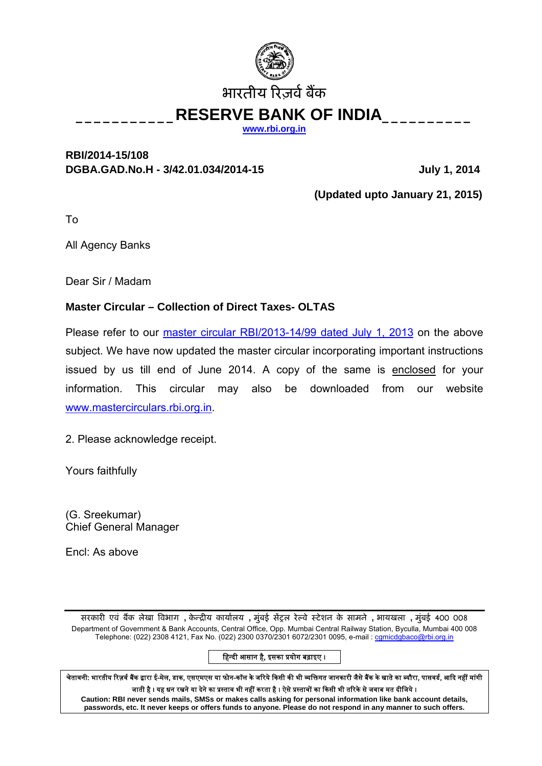

**[www.rbi.org.in](http://www.rbi.org.in/)**

## **RBI/2014-15/108**  DGBA.GAD.No.H - 3/42.01.034/2014-15 July 1, 2014

 **(Updated upto January 21, 2015)** 

To

All Agency Banks

Dear Sir / Madam

## **Master Circular – Collection of Direct Taxes- OLTAS**

Please refer to our *[master circular RBI/2013-14/99 dated July 1, 2013](http://rbi.org.in/scripts/BS_ViewMasCirculardetails.aspx?Id=8185&Mode=0)* on the above subject. We have now updated the master circular incorporating important instructions issued by us till end of June 2014. A copy of the same is enclosed for your information. This circular may also be downloaded from our website [www.mastercirculars.rbi.org.in.](http://www.mastercirculars.rbi.org.in/)

2. Please acknowledge receipt.

Yours faithfully

(G. Sreekumar) Chief General Manager

Encl: As above

सरकारȣ एवं बɇक लेखा ǒवभाग **,** केÛिȣय कायालय[ **,** मुंबई सɅशल रेãवे ःटेशन के सामने **,** भायखला **,** मुंबई 400 008 Department of Government & Bank Accounts, Central Office, Opp. Mumbai Central Railway Station, Byculla, Mumbai 400 008 Telephone: (022) 2308 4121, Fax No. (022) 2300 0370/2301 6072/2301 0095, e-mail: [cgmicdgbaco@rbi.org.in](mailto:cgmicdgbaco@rbi.org.in)

हिन्दी आसान है, इसका प्रयोग बढ़ाइए ।

चेतावनी: भारतीय रिज़र्व बैंक द्वारा ई-मेल, डाक, एसएमएस या फोन-कॉल के जरिये किसी की भी व्यक्तिगत जानकारी जैसे बैंक के खाते का ब्यौरा, पासवर्ड, आदि नहीं मांगी जाती है । यह धन रखने या देने का प्रस्ताव भी नहीं करता है । ऐसे प्रस्तावों का किसी भी तरिके से जवाब मत दीजिये ।

**Caution: RBI never sends mails, SMSs or makes calls asking for personal information like bank account details, passwords, etc. It never keeps or offers funds to anyone. Please do not respond in any manner to such offers.**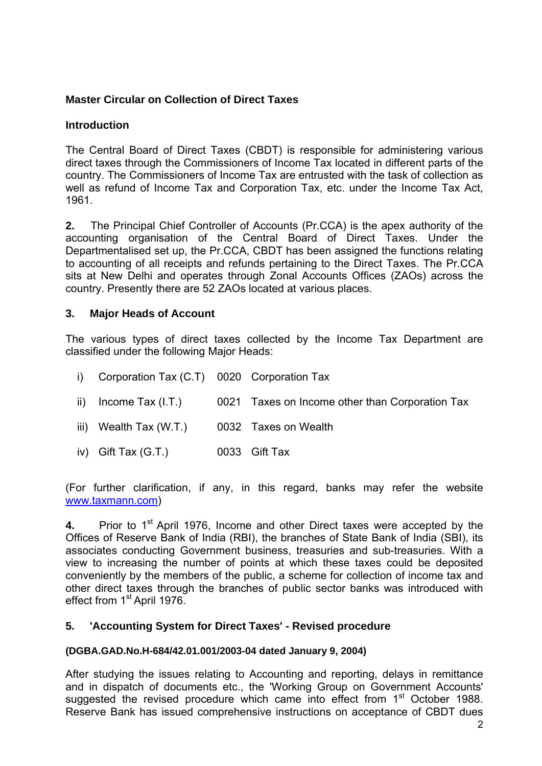## **Master Circular on Collection of Direct Taxes**

## **Introduction**

The Central Board of Direct Taxes (CBDT) is responsible for administering various direct taxes through the Commissioners of Income Tax located in different parts of the country. The Commissioners of Income Tax are entrusted with the task of collection as well as refund of Income Tax and Corporation Tax, etc. under the Income Tax Act, 1961.

**2.** The Principal Chief Controller of Accounts (Pr.CCA) is the apex authority of the accounting organisation of the Central Board of Direct Taxes. Under the Departmentalised set up, the Pr.CCA, CBDT has been assigned the functions relating to accounting of all receipts and refunds pertaining to the Direct Taxes. The Pr.CCA sits at New Delhi and operates through Zonal Accounts Offices (ZAOs) across the country. Presently there are 52 ZAOs located at various places.

## **3. Major Heads of Account**

The various types of direct taxes collected by the Income Tax Department are classified under the following Major Heads:

- i) Corporation Tax (C.T) 0020 Corporation Tax
- ii) Income Tax (I.T.) 0021 Taxes on Income other than Corporation Tax
- iii) Wealth Tax (W.T.) 0032 Taxes on Wealth
- iv) Gift Tax (G.T.) 0033 Gift Tax

(For further clarification, if any, in this regard, banks may refer the website [www.taxmann.com](http://www.taxmann.com/))

**4.** Prior to 1<sup>st</sup> April 1976, Income and other Direct taxes were accepted by the Offices of Reserve Bank of India (RBI), the branches of State Bank of India (SBI), its associates conducting Government business, treasuries and sub-treasuries. With a view to increasing the number of points at which these taxes could be deposited conveniently by the members of the public, a scheme for collection of income tax and other direct taxes through the branches of public sector banks was introduced with effect from 1<sup>st</sup> April 1976.

## **5. 'Accounting System for Direct Taxes' - Revised procedure**

### **(DGBA.GAD.No.H-684/42.01.001/2003-04 dated January 9, 2004)**

After studying the issues relating to Accounting and reporting, delays in remittance and in dispatch of documents etc., the 'Working Group on Government Accounts' suggested the revised procedure which came into effect from  $1<sup>st</sup>$  October 1988. Reserve Bank has issued comprehensive instructions on acceptance of CBDT dues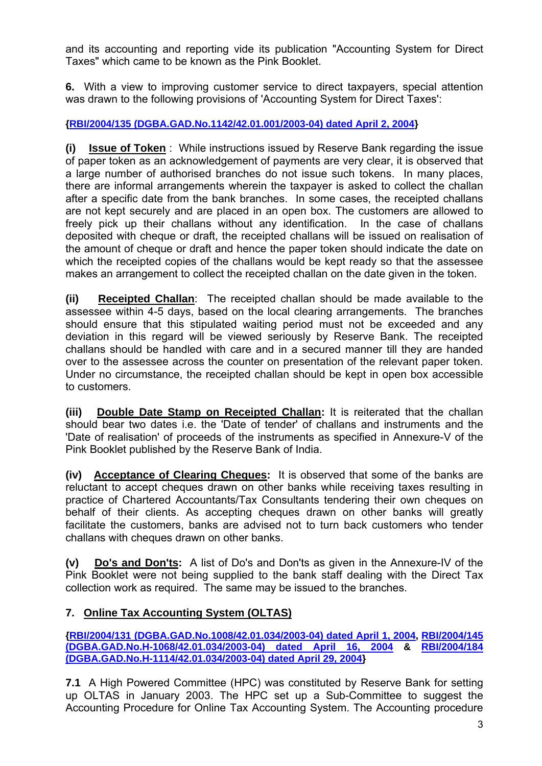and its accounting and reporting vide its publication "Accounting System for Direct Taxes" which came to be known as the Pink Booklet.

**6.** With a view to improving customer service to direct taxpayers, special attention was drawn to the following provisions of 'Accounting System for Direct Taxes':

## **[{RBI/2004/135 \(DGBA.GAD.No.1142/42.01.001/2003-04\) dated April 2, 2004](http://rbi.org.in/scripts/NotificationUser.aspx?Id=1677&Mode=0)}**

**(i) Issue of Token** : While instructions issued by Reserve Bank regarding the issue of paper token as an acknowledgement of payments are very clear, it is observed that a large number of authorised branches do not issue such tokens. In many places, there are informal arrangements wherein the taxpayer is asked to collect the challan after a specific date from the bank branches. In some cases, the receipted challans are not kept securely and are placed in an open box. The customers are allowed to freely pick up their challans without any identification. In the case of challans deposited with cheque or draft, the receipted challans will be issued on realisation of the amount of cheque or draft and hence the paper token should indicate the date on which the receipted copies of the challans would be kept ready so that the assessee makes an arrangement to collect the receipted challan on the date given in the token.

**(ii) Receipted Challan**: The receipted challan should be made available to the assessee within 4-5 days, based on the local clearing arrangements. The branches should ensure that this stipulated waiting period must not be exceeded and any deviation in this regard will be viewed seriously by Reserve Bank. The receipted challans should be handled with care and in a secured manner till they are handed over to the assessee across the counter on presentation of the relevant paper token. Under no circumstance, the receipted challan should be kept in open box accessible to customers.

**(iii) Double Date Stamp on Receipted Challan:** It is reiterated that the challan should bear two dates i.e. the 'Date of tender' of challans and instruments and the 'Date of realisation' of proceeds of the instruments as specified in Annexure-V of the Pink Booklet published by the Reserve Bank of India.

**(iv) Acceptance of Clearing Cheques:** It is observed that some of the banks are reluctant to accept cheques drawn on other banks while receiving taxes resulting in practice of Chartered Accountants/Tax Consultants tendering their own cheques on behalf of their clients. As accepting cheques drawn on other banks will greatly facilitate the customers, banks are advised not to turn back customers who tender challans with cheques drawn on other banks.

**(v) Do's and Don'ts:** A list of Do's and Don'ts as given in the Annexure-IV of the Pink Booklet were not being supplied to the bank staff dealing with the Direct Tax collection work as required. The same may be issued to the branches.

## **7. Online Tax Accounting System (OLTAS)**

**[{RBI/2004/131 \(DGBA.GAD.No.1008/42.01.034/2003-04\) dated April 1, 2004,](http://rbi.org.in/scripts/NotificationUser.aspx?Id=1676&Mode=0) [RBI/2004/145](http://rbi.org.in/scripts/NotificationUser.aspx?Id=1678&Mode=0) [\(DGBA.GAD.No.H-1068/42.01.034/2003-04\) dated April 16, 2004](http://rbi.org.in/scripts/NotificationUser.aspx?Id=1678&Mode=0) & [RBI/2004/184](http://rbi.org.in/scripts/NotificationUser.aspx?Id=1679&Mode=0)  [\(DGBA.GAD.No.H-1114/42.01.034/2003-04\) dated April 29, 2004}](http://rbi.org.in/scripts/NotificationUser.aspx?Id=1679&Mode=0)** 

**7.1** A High Powered Committee (HPC) was constituted by Reserve Bank for setting up OLTAS in January 2003. The HPC set up a Sub-Committee to suggest the Accounting Procedure for Online Tax Accounting System. The Accounting procedure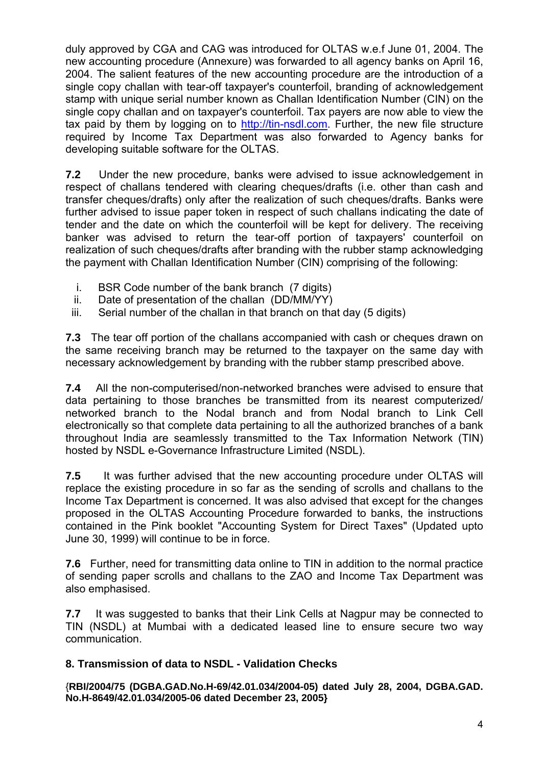duly approved by CGA and CAG was introduced for OLTAS w.e.f June 01, 2004. The new accounting procedure (Annexure) was forwarded to all agency banks on April 16, 2004. The salient features of the new accounting procedure are the introduction of a single copy challan with tear-off taxpayer's counterfoil, branding of acknowledgement stamp with unique serial number known as Challan Identification Number (CIN) on the single copy challan and on taxpayer's counterfoil. Tax payers are now able to view the tax paid by them by logging on to [http://tin-nsdl.com.](http://tin-nsdl.com/) Further, the new file structure required by Income Tax Department was also forwarded to Agency banks for developing suitable software for the OLTAS.

**7.2** Under the new procedure, banks were advised to issue acknowledgement in respect of challans tendered with clearing cheques/drafts (i.e. other than cash and transfer cheques/drafts) only after the realization of such cheques/drafts. Banks were further advised to issue paper token in respect of such challans indicating the date of tender and the date on which the counterfoil will be kept for delivery. The receiving banker was advised to return the tear-off portion of taxpayers' counterfoil on realization of such cheques/drafts after branding with the rubber stamp acknowledging the payment with Challan Identification Number (CIN) comprising of the following:

- i. BSR Code number of the bank branch (7 digits)
- ii. Date of presentation of the challan (DD/MM/YY)
- iii. Serial number of the challan in that branch on that day (5 digits)

**7.3** The tear off portion of the challans accompanied with cash or cheques drawn on the same receiving branch may be returned to the taxpayer on the same day with necessary acknowledgement by branding with the rubber stamp prescribed above.

**7.4** All the non-computerised/non-networked branches were advised to ensure that data pertaining to those branches be transmitted from its nearest computerized/ networked branch to the Nodal branch and from Nodal branch to Link Cell electronically so that complete data pertaining to all the authorized branches of a bank throughout India are seamlessly transmitted to the Tax Information Network (TIN) hosted by NSDL e-Governance Infrastructure Limited (NSDL).

**7.5** It was further advised that the new accounting procedure under OLTAS will replace the existing procedure in so far as the sending of scrolls and challans to the Income Tax Department is concerned. It was also advised that except for the changes proposed in the OLTAS Accounting Procedure forwarded to banks, the instructions contained in the Pink booklet "Accounting System for Direct Taxes" (Updated upto June 30, 1999) will continue to be in force.

**7.6** Further, need for transmitting data online to TIN in addition to the normal practice of sending paper scrolls and challans to the ZAO and Income Tax Department was also emphasised.

**7.7** It was suggested to banks that their Link Cells at Nagpur may be connected to TIN (NSDL) at Mumbai with a dedicated leased line to ensure secure two way communication.

## **8. Transmission of data to NSDL - Validation Checks**

{**RBI/2004/75 (DGBA.GAD.No.H-69/42.01.034/2004-05) dated July 28, 2004, DGBA.GAD. No.H-8649/42.01.034/2005-06 dated December 23, 2005}**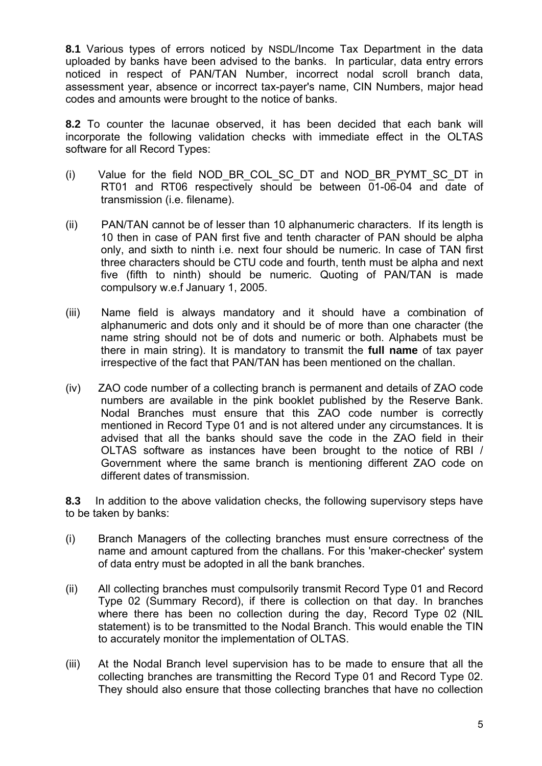**8.1** Various types of errors noticed by NSDL/Income Tax Department in the data uploaded by banks have been advised to the banks. In particular, data entry errors noticed in respect of PAN/TAN Number, incorrect nodal scroll branch data, assessment year, absence or incorrect tax-payer's name, CIN Numbers, major head codes and amounts were brought to the notice of banks.

**8.2** To counter the lacunae observed, it has been decided that each bank will incorporate the following validation checks with immediate effect in the OLTAS software for all Record Types:

- (i) Value for the field NOD\_BR\_COL\_SC\_DT and NOD\_BR\_PYMT\_SC\_DT in RT01 and RT06 respectively should be between 01-06-04 and date of transmission (i.e. filename).
- (ii) PAN/TAN cannot be of lesser than 10 alphanumeric characters. If its length is 10 then in case of PAN first five and tenth character of PAN should be alpha only, and sixth to ninth i.e. next four should be numeric. In case of TAN first three characters should be CTU code and fourth, tenth must be alpha and next five (fifth to ninth) should be numeric. Quoting of PAN/TAN is made compulsory w.e.f January 1, 2005.
- (iii) Name field is always mandatory and it should have a combination of alphanumeric and dots only and it should be of more than one character (the name string should not be of dots and numeric or both. Alphabets must be there in main string). It is mandatory to transmit the **full name** of tax payer irrespective of the fact that PAN/TAN has been mentioned on the challan.
- (iv) ZAO code number of a collecting branch is permanent and details of ZAO code numbers are available in the pink booklet published by the Reserve Bank. Nodal Branches must ensure that this ZAO code number is correctly mentioned in Record Type 01 and is not altered under any circumstances. It is advised that all the banks should save the code in the ZAO field in their OLTAS software as instances have been brought to the notice of RBI / Government where the same branch is mentioning different ZAO code on different dates of transmission.

**8.3** In addition to the above validation checks, the following supervisory steps have to be taken by banks:

- (i) Branch Managers of the collecting branches must ensure correctness of the name and amount captured from the challans. For this 'maker-checker' system of data entry must be adopted in all the bank branches.
- (ii) All collecting branches must compulsorily transmit Record Type 01 and Record Type 02 (Summary Record), if there is collection on that day. In branches where there has been no collection during the day, Record Type 02 (NIL statement) is to be transmitted to the Nodal Branch. This would enable the TIN to accurately monitor the implementation of OLTAS.
- (iii) At the Nodal Branch level supervision has to be made to ensure that all the collecting branches are transmitting the Record Type 01 and Record Type 02. They should also ensure that those collecting branches that have no collection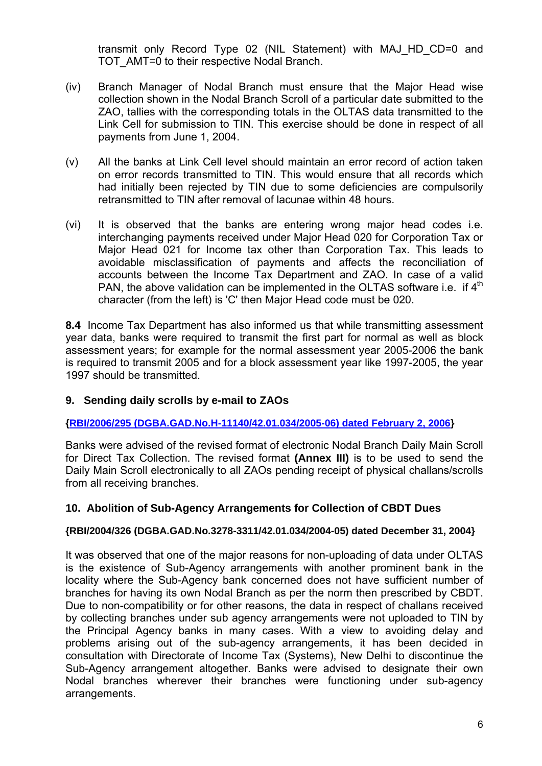transmit only Record Type 02 (NIL Statement) with MAJ\_HD\_CD=0 and TOT AMT=0 to their respective Nodal Branch.

- (iv) Branch Manager of Nodal Branch must ensure that the Major Head wise collection shown in the Nodal Branch Scroll of a particular date submitted to the ZAO, tallies with the corresponding totals in the OLTAS data transmitted to the Link Cell for submission to TIN. This exercise should be done in respect of all payments from June 1, 2004.
- (v) All the banks at Link Cell level should maintain an error record of action taken on error records transmitted to TIN. This would ensure that all records which had initially been rejected by TIN due to some deficiencies are compulsorily retransmitted to TIN after removal of lacunae within 48 hours.
- (vi) It is observed that the banks are entering wrong major head codes i.e. interchanging payments received under Major Head 020 for Corporation Tax or Major Head 021 for Income tax other than Corporation Tax. This leads to avoidable misclassification of payments and affects the reconciliation of accounts between the Income Tax Department and ZAO. In case of a valid PAN, the above validation can be implemented in the OLTAS software i.e. if  $4<sup>th</sup>$ character (from the left) is 'C' then Major Head code must be 020.

**8.4** Income Tax Department has also informed us that while transmitting assessment year data, banks were required to transmit the first part for normal as well as block assessment years; for example for the normal assessment year 2005-2006 the bank is required to transmit 2005 and for a block assessment year like 1997-2005, the year 1997 should be transmitted.

### **9. Sending daily scrolls by e-mail to ZAOs**

**[{RBI/2006/295 \(DGBA.GAD.No.H-11140/42.01.034/2005-06\) dated February 2, 2006](http://rbi.org.in/scripts/NotificationUser.aspx?Id=2732&Mode=0)}** 

Banks were advised of the revised format of electronic Nodal Branch Daily Main Scroll for Direct Tax Collection. The revised format **(Annex III)** is to be used to send the Daily Main Scroll electronically to all ZAOs pending receipt of physical challans/scrolls from all receiving branches.

### **10. Abolition of Sub-Agency Arrangements for Collection of CBDT Dues**

#### **{RBI/2004/326 (DGBA.GAD.No.3278-3311/42.01.034/2004-05) dated December 31, 2004}**

It was observed that one of the major reasons for non-uploading of data under OLTAS is the existence of Sub-Agency arrangements with another prominent bank in the locality where the Sub-Agency bank concerned does not have sufficient number of branches for having its own Nodal Branch as per the norm then prescribed by CBDT. Due to non-compatibility or for other reasons, the data in respect of challans received by collecting branches under sub agency arrangements were not uploaded to TIN by the Principal Agency banks in many cases. With a view to avoiding delay and problems arising out of the sub-agency arrangements, it has been decided in consultation with Directorate of Income Tax (Systems), New Delhi to discontinue the Sub-Agency arrangement altogether. Banks were advised to designate their own Nodal branches wherever their branches were functioning under sub-agency arrangements.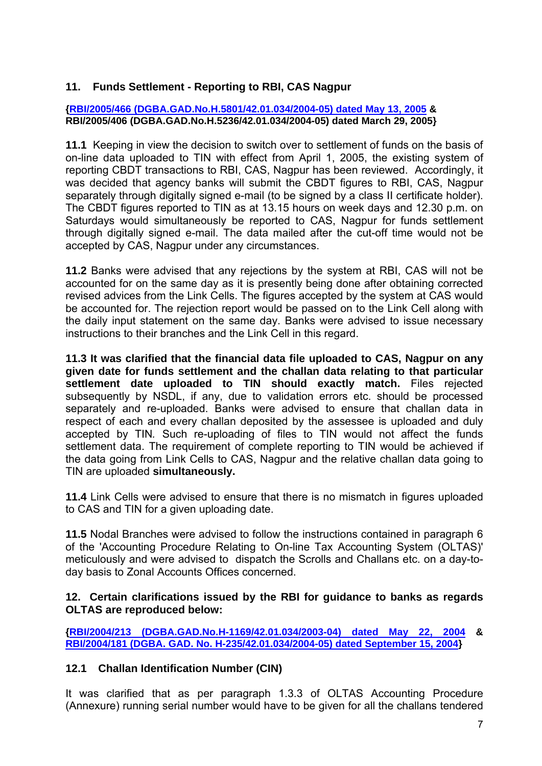## **11. Funds Settlement - Reporting to RBI, CAS Nagpur**

#### **[{RBI/2005/466 \(DGBA.GAD.No.H.5801/42.01.034/2004-05\) dated May 13, 2005](http://www.rbi.org.in/scripts/NotificationUser.aspx?Id=2256&Mode=0) & RBI/2005/406 (DGBA.GAD.No.H.5236/42.01.034/2004-05) dated March 29, 2005}**

**11.1** Keeping in view the decision to switch over to settlement of funds on the basis of on-line data uploaded to TIN with effect from April 1, 2005, the existing system of reporting CBDT transactions to RBI, CAS, Nagpur has been reviewed. Accordingly, it was decided that agency banks will submit the CBDT figures to RBI, CAS, Nagpur separately through digitally signed e-mail (to be signed by a class II certificate holder). The CBDT figures reported to TIN as at 13.15 hours on week days and 12.30 p.m. on Saturdays would simultaneously be reported to CAS, Nagpur for funds settlement through digitally signed e-mail. The data mailed after the cut-off time would not be accepted by CAS, Nagpur under any circumstances.

**11.2** Banks were advised that any rejections by the system at RBI, CAS will not be accounted for on the same day as it is presently being done after obtaining corrected revised advices from the Link Cells. The figures accepted by the system at CAS would be accounted for. The rejection report would be passed on to the Link Cell along with the daily input statement on the same day. Banks were advised to issue necessary instructions to their branches and the Link Cell in this regard.

**11.3 It was clarified that the financial data file uploaded to CAS, Nagpur on any given date for funds settlement and the challan data relating to that particular settlement date uploaded to TIN should exactly match.** Files rejected subsequently by NSDL, if any, due to validation errors etc. should be processed separately and re-uploaded. Banks were advised to ensure that challan data in respect of each and every challan deposited by the assessee is uploaded and duly accepted by TIN*.* Such re-uploading of files to TIN would not affect the funds settlement data. The requirement of complete reporting to TIN would be achieved if the data going from Link Cells to CAS, Nagpur and the relative challan data going to TIN are uploaded **simultaneously.** 

**11.4** Link Cells were advised to ensure that there is no mismatch in figures uploaded to CAS and TIN for a given uploading date.

**11.5** Nodal Branches were advised to follow the instructions contained in paragraph 6 of the 'Accounting Procedure Relating to On-line Tax Accounting System (OLTAS)' meticulously and were advised to dispatch the Scrolls and Challans etc. on a day-today basis to Zonal Accounts Offices concerned.

### **12. Certain clarifications issued by the RBI for guidance to banks as regards OLTAS are reproduced below:**

**[{RBI/2004/213 \(DGBA.GAD.No.H-1169/42.01.034/2003-04\) dated May 22, 2004](http://rbi.org.in/scripts/NotificationUser.aspx?Id=1669&Mode=0) & [RBI/2004/181 \(DGBA. GAD. No. H-235/42.01.034/2004-05\) dated September 15, 2004}](http://rbi.org.in/scripts/NotificationUser.aspx?Id=2123&Mode=0)** 

## **12.1 Challan Identification Number (CIN)**

It was clarified that as per paragraph 1.3.3 of OLTAS Accounting Procedure (Annexure) running serial number would have to be given for all the challans tendered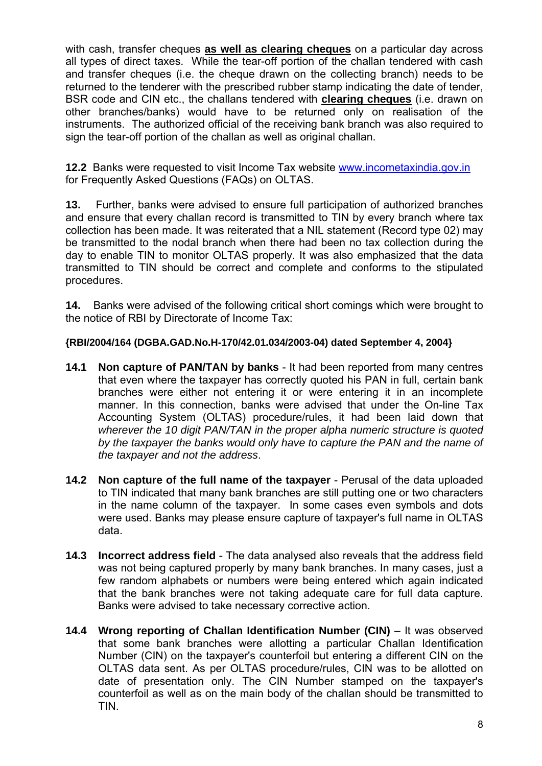with cash, transfer cheques **as well as clearing cheques** on a particular day across all types of direct taxes. While the tear-off portion of the challan tendered with cash and transfer cheques (i.e. the cheque drawn on the collecting branch) needs to be returned to the tenderer with the prescribed rubber stamp indicating the date of tender, BSR code and CIN etc., the challans tendered with **clearing cheques** (i.e. drawn on other branches/banks) would have to be returned only on realisation of the instruments. The authorized official of the receiving bank branch was also required to sign the tear-off portion of the challan as well as original challan.

**12.2** Banks were requested to visit Income Tax website [www.incometaxindia.gov.in](http://www.incometaxindia.gov.in/) for Frequently Asked Questions (FAQs) on OLTAS.

**13.** Further, banks were advised to ensure full participation of authorized branches and ensure that every challan record is transmitted to TIN by every branch where tax collection has been made. It was reiterated that a NIL statement (Record type 02) may be transmitted to the nodal branch when there had been no tax collection during the day to enable TIN to monitor OLTAS properly. It was also emphasized that the data transmitted to TIN should be correct and complete and conforms to the stipulated procedures.

**14.** Banks were advised of the following critical short comings which were brought to the notice of RBI by Directorate of Income Tax:

### **{RBI/2004/164 (DGBA.GAD.No.H-170/42.01.034/2003-04) dated September 4, 2004}**

- **14.1 Non capture of PAN/TAN by banks** It had been reported from many centres that even where the taxpayer has correctly quoted his PAN in full, certain bank branches were either not entering it or were entering it in an incomplete manner. In this connection, banks were advised that under the On-line Tax Accounting System (OLTAS) procedure/rules, it had been laid down that *wherever the 10 digit PAN/TAN in the proper alpha numeric structure is quoted by the taxpayer the banks would only have to capture the PAN and the name of the taxpayer and not the address*.
- **14.2 Non capture of the full name of the taxpayer** Perusal of the data uploaded to TIN indicated that many bank branches are still putting one or two characters in the name column of the taxpayer. In some cases even symbols and dots were used. Banks may please ensure capture of taxpayer's full name in OLTAS data.
- **14.3 Incorrect address field**  The data analysed also reveals that the address field was not being captured properly by many bank branches. In many cases, just a few random alphabets or numbers were being entered which again indicated that the bank branches were not taking adequate care for full data capture. Banks were advised to take necessary corrective action.
- **14.4 Wrong reporting of Challan Identification Number (CIN)** It was observed that some bank branches were allotting a particular Challan Identification Number (CIN) on the taxpayer's counterfoil but entering a different CIN on the OLTAS data sent. As per OLTAS procedure/rules, CIN was to be allotted on date of presentation only. The CIN Number stamped on the taxpayer's counterfoil as well as on the main body of the challan should be transmitted to TIN.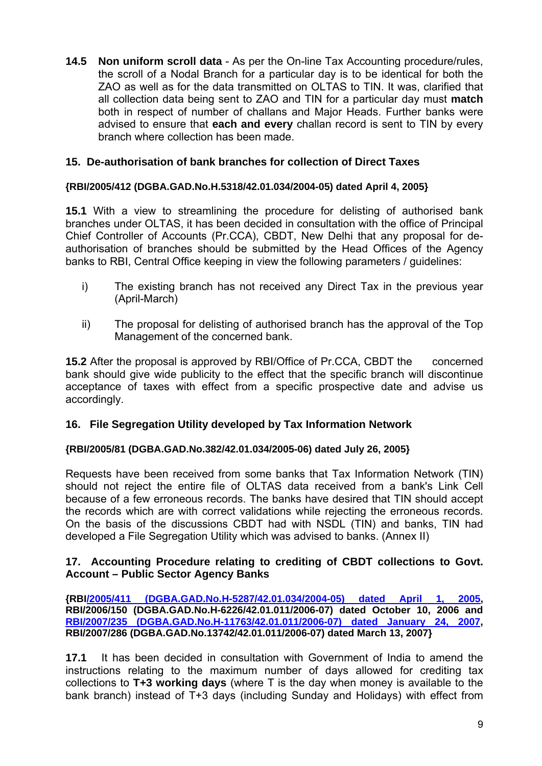**14.5 Non uniform scroll data** - As per the On-line Tax Accounting procedure/rules, the scroll of a Nodal Branch for a particular day is to be identical for both the ZAO as well as for the data transmitted on OLTAS to TIN. It was, clarified that all collection data being sent to ZAO and TIN for a particular day must **match** both in respect of number of challans and Major Heads. Further banks were advised to ensure that **each and every** challan record is sent to TIN by every branch where collection has been made.

### **15. De-authorisation of bank branches for collection of Direct Taxes**

#### **{RBI/2005/412 (DGBA.GAD.No.H.5318/42.01.034/2004-05) dated April 4, 2005}**

**15.1** With a view to streamlining the procedure for delisting of authorised bank branches under OLTAS, it has been decided in consultation with the office of Principal Chief Controller of Accounts (Pr.CCA), CBDT, New Delhi that any proposal for deauthorisation of branches should be submitted by the Head Offices of the Agency banks to RBI, Central Office keeping in view the following parameters / guidelines:

- i) The existing branch has not received any Direct Tax in the previous year (April-March)
- ii) The proposal for delisting of authorised branch has the approval of the Top Management of the concerned bank.

**15.2** After the proposal is approved by RBI/Office of Pr.CCA, CBDT the concerned bank should give wide publicity to the effect that the specific branch will discontinue acceptance of taxes with effect from a specific prospective date and advise us accordingly.

### **16. File Segregation Utility developed by Tax Information Network**

#### **{RBI/2005/81 (DGBA.GAD.No.382/42.01.034/2005-06) dated July 26, 2005}**

Requests have been received from some banks that Tax Information Network (TIN) should not reject the entire file of OLTAS data received from a bank's Link Cell because of a few erroneous records. The banks have desired that TIN should accept the records which are with correct validations while rejecting the erroneous records. On the basis of the discussions CBDT had with NSDL (TIN) and banks, TIN had developed a File Segregation Utility which was advised to banks. (Annex II)

#### **17. Accounting Procedure relating to crediting of CBDT collections to Govt. Account – Public Sector Agency Banks**

**{RB[I/2005/411 \(DGBA.GAD.No.H-5287/42.01.034/2004-05\) dated April 1, 2005,](http://rbi.org.in/scripts/NotificationUser.aspx?Id=2178&Mode=0) RBI/2006/150 (DGBA.GAD.No.H-6226/42.01.011/2006-07) dated October 10, 2006 and [RBI/2007/235 \(DGBA.GAD.No.H-11763/42.01.011/2006-07\) dated January 24, 2007,](http://rbi.org.in/scripts/NotificationUser.aspx?Id=3273&Mode=0) RBI/2007/286 (DGBA.GAD.No.13742/42.01.011/2006-07) dated March 13, 2007}** 

**17.1** It has been decided in consultation with Government of India to amend the instructions relating to the maximum number of days allowed for crediting tax collections to **T+3 working days** (where T is the day when money is available to the bank branch) instead of T+3 days (including Sunday and Holidays) with effect from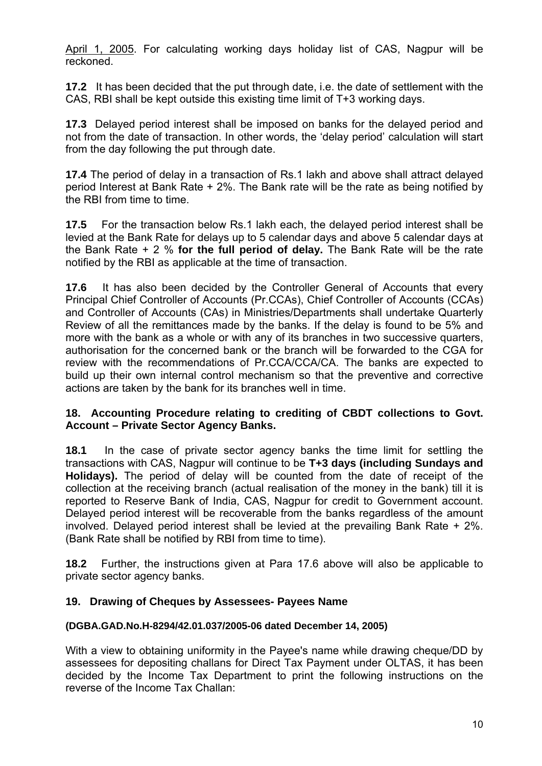April 1, 2005. For calculating working days holiday list of CAS, Nagpur will be reckoned.

**17.2** It has been decided that the put through date, i.e. the date of settlement with the CAS, RBI shall be kept outside this existing time limit of T+3 working days.

**17.3** Delayed period interest shall be imposed on banks for the delayed period and not from the date of transaction. In other words, the 'delay period' calculation will start from the day following the put through date.

**17.4** The period of delay in a transaction of Rs.1 lakh and above shall attract delayed period Interest at Bank Rate + 2%. The Bank rate will be the rate as being notified by the RBI from time to time.

**17.5** For the transaction below Rs.1 lakh each, the delayed period interest shall be levied at the Bank Rate for delays up to 5 calendar days and above 5 calendar days at the Bank Rate + 2 % **for the full period of delay.** The Bank Rate will be the rate notified by the RBI as applicable at the time of transaction.

**17.6** It has also been decided by the Controller General of Accounts that every Principal Chief Controller of Accounts (Pr.CCAs), Chief Controller of Accounts (CCAs) and Controller of Accounts (CAs) in Ministries/Departments shall undertake Quarterly Review of all the remittances made by the banks. If the delay is found to be 5% and more with the bank as a whole or with any of its branches in two successive quarters, authorisation for the concerned bank or the branch will be forwarded to the CGA for review with the recommendations of Pr.CCA/CCA/CA. The banks are expected to build up their own internal control mechanism so that the preventive and corrective actions are taken by the bank for its branches well in time.

### **18. Accounting Procedure relating to crediting of CBDT collections to Govt. Account – Private Sector Agency Banks.**

**18.1** In the case of private sector agency banks the time limit for settling the transactions with CAS, Nagpur will continue to be **T+3 days (including Sundays and Holidays).** The period of delay will be counted from the date of receipt of the collection at the receiving branch (actual realisation of the money in the bank) till it is reported to Reserve Bank of India, CAS, Nagpur for credit to Government account. Delayed period interest will be recoverable from the banks regardless of the amount involved. Delayed period interest shall be levied at the prevailing Bank Rate + 2%. (Bank Rate shall be notified by RBI from time to time).

**18.2** Further, the instructions given at Para 17.6 above will also be applicable to private sector agency banks.

### **19. Drawing of Cheques by Assessees- Payees Name**

### **(DGBA.GAD.No.H-8294/42.01.037/2005-06 dated December 14, 2005)**

With a view to obtaining uniformity in the Payee's name while drawing cheque/DD by assessees for depositing challans for Direct Tax Payment under OLTAS, it has been decided by the Income Tax Department to print the following instructions on the reverse of the Income Tax Challan: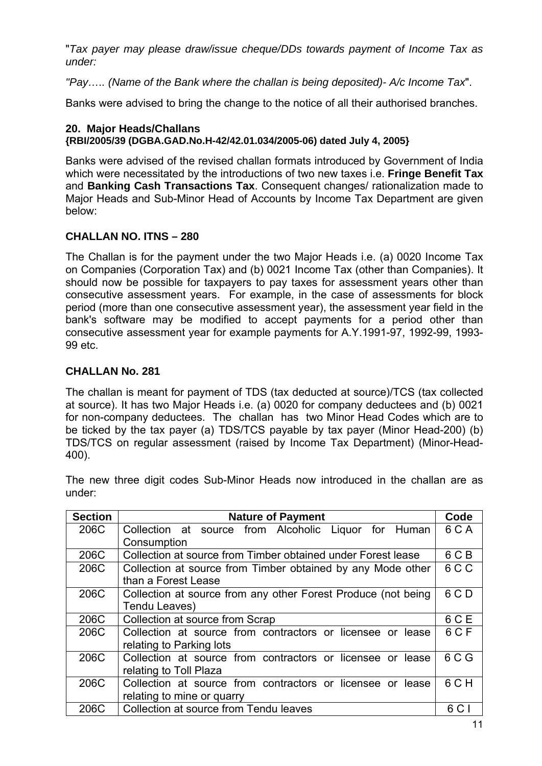"*Tax payer may please draw/issue cheque/DDs towards payment of Income Tax as under:* 

*"Pay….. (Name of the Bank where the challan is being deposited)- A/c Income Tax*".

Banks were advised to bring the change to the notice of all their authorised branches.

### **20. Major Heads/Challans {RBI/2005/39 (DGBA.GAD.No.H-42/42.01.034/2005-06) dated July 4, 2005}**

Banks were advised of the revised challan formats introduced by Government of India which were necessitated by the introductions of two new taxes i.e. **Fringe Benefit Tax** and **Banking Cash Transactions Tax**. Consequent changes/ rationalization made to Major Heads and Sub-Minor Head of Accounts by Income Tax Department are given below:

## **CHALLAN NO. ITNS – 280**

The Challan is for the payment under the two Major Heads i.e. (a) 0020 Income Tax on Companies (Corporation Tax) and (b) 0021 Income Tax (other than Companies). It should now be possible for taxpayers to pay taxes for assessment years other than consecutive assessment years. For example, in the case of assessments for block period (more than one consecutive assessment year), the assessment year field in the bank's software may be modified to accept payments for a period other than consecutive assessment year for example payments for A.Y.1991-97, 1992-99, 1993- 99 etc.

## **CHALLAN No. 281**

The challan is meant for payment of TDS (tax deducted at source)/TCS (tax collected at source). It has two Major Heads i.e. (a) 0020 for company deductees and (b) 0021 for non-company deductees. The challan has two Minor Head Codes which are to be ticked by the tax payer (a) TDS/TCS payable by tax payer (Minor Head-200) (b) TDS/TCS on regular assessment (raised by Income Tax Department) (Minor-Head-400).

The new three digit codes Sub-Minor Heads now introduced in the challan are as under:

| <b>Section</b> | <b>Nature of Payment</b>                                      | Code  |
|----------------|---------------------------------------------------------------|-------|
| 206C           | Collection at source from Alcoholic Liquor for Human          | 6 C A |
|                | Consumption                                                   |       |
| 206C           | Collection at source from Timber obtained under Forest lease  | 6 C B |
| 206C           | Collection at source from Timber obtained by any Mode other   | 6 C C |
|                | than a Forest Lease                                           |       |
| 206C           | Collection at source from any other Forest Produce (not being | 6 C D |
|                | Tendu Leaves)                                                 |       |
| 206C           | Collection at source from Scrap                               | 6 C E |
| 206C           | Collection at source from contractors or licensee or lease    | 6 C F |
|                | relating to Parking lots                                      |       |
| 206C           | Collection at source from contractors or licensee or lease    | 6 C G |
|                | relating to Toll Plaza                                        |       |
| 206C           | Collection at source from contractors or licensee or lease    | 6 CH  |
|                | relating to mine or quarry                                    |       |
| 206C           | Collection at source from Tendu leaves                        | 6 C   |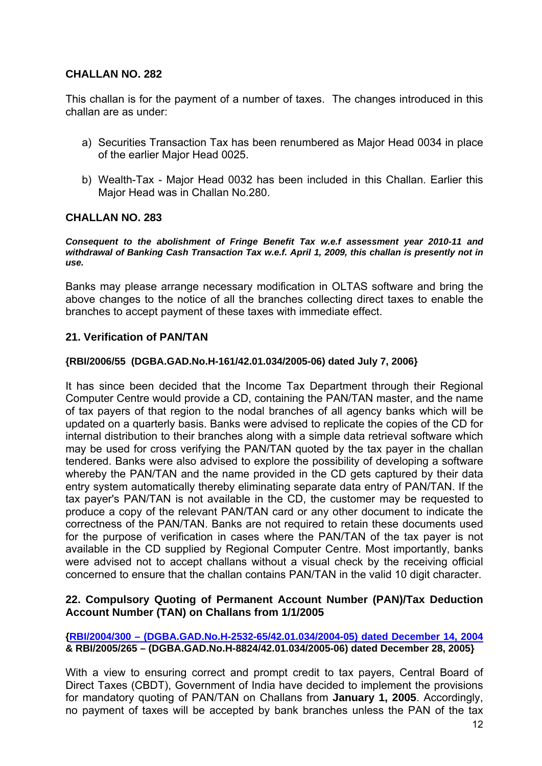### **CHALLAN NO. 282**

This challan is for the payment of a number of taxes. The changes introduced in this challan are as under:

- a) Securities Transaction Tax has been renumbered as Major Head 0034 in place of the earlier Major Head 0025.
- b) Wealth-Tax Major Head 0032 has been included in this Challan. Earlier this Major Head was in Challan No.280.

### **CHALLAN NO. 283**

#### *Consequent to the abolishment of Fringe Benefit Tax w.e.f assessment year 2010-11 and withdrawal of Banking Cash Transaction Tax w.e.f. April 1, 2009, this challan is presently not in use.*

Banks may please arrange necessary modification in OLTAS software and bring the above changes to the notice of all the branches collecting direct taxes to enable the branches to accept payment of these taxes with immediate effect.

### **21. Verification of PAN/TAN**

#### **{RBI/2006/55 (DGBA.GAD.No.H-161/42.01.034/2005-06) dated July 7, 2006}**

It has since been decided that the Income Tax Department through their Regional Computer Centre would provide a CD, containing the PAN/TAN master, and the name of tax payers of that region to the nodal branches of all agency banks which will be updated on a quarterly basis. Banks were advised to replicate the copies of the CD for internal distribution to their branches along with a simple data retrieval software which may be used for cross verifying the PAN/TAN quoted by the tax payer in the challan tendered. Banks were also advised to explore the possibility of developing a software whereby the PAN/TAN and the name provided in the CD gets captured by their data entry system automatically thereby eliminating separate data entry of PAN/TAN. If the tax payer's PAN/TAN is not available in the CD, the customer may be requested to produce a copy of the relevant PAN/TAN card or any other document to indicate the correctness of the PAN/TAN. Banks are not required to retain these documents used for the purpose of verification in cases where the PAN/TAN of the tax payer is not available in the CD supplied by Regional Computer Centre. Most importantly, banks were advised not to accept challans without a visual check by the receiving official concerned to ensure that the challan contains PAN/TAN in the valid 10 digit character.

### **22. Compulsory Quoting of Permanent Account Number (PAN)/Tax Deduction Account Number (TAN) on Challans from 1/1/2005**

#### **[{RBI/2004/300 – \(DGBA.GAD.No.H-2532-65/42.01.034/2004-05\) dated December 14, 2004](http://rbi.org.in/scripts/NotificationUser.aspx?Id=2054&Mode=0) & RBI/2005/265 – (DGBA.GAD.No.H-8824/42.01.034/2005-06) dated December 28, 2005}**

With a view to ensuring correct and prompt credit to tax payers, Central Board of Direct Taxes (CBDT), Government of India have decided to implement the provisions for mandatory quoting of PAN/TAN on Challans from **January 1, 2005**. Accordingly, no payment of taxes will be accepted by bank branches unless the PAN of the tax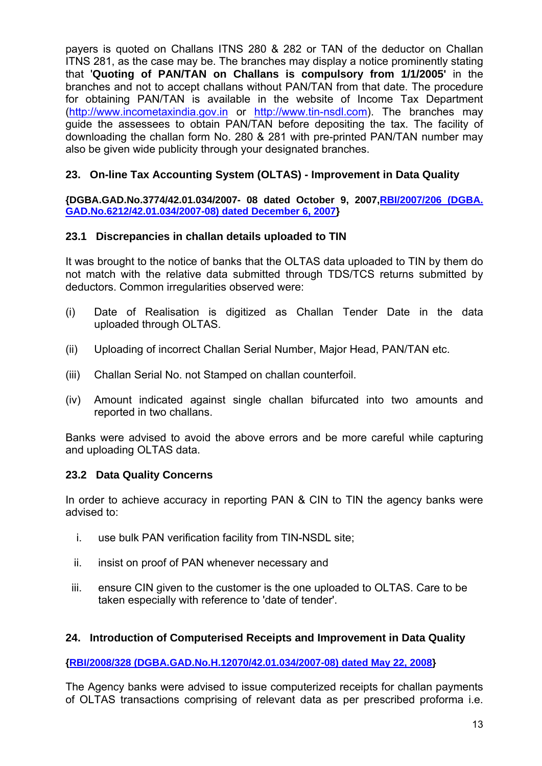payers is quoted on Challans ITNS 280 & 282 or TAN of the deductor on Challan ITNS 281, as the case may be. The branches may display a notice prominently stating that '**Quoting of PAN/TAN on Challans is compulsory from 1/1/2005'** in the branches and not to accept challans without PAN/TAN from that date. The procedure for obtaining PAN/TAN is available in the website of Income Tax Department ([http://www.incometaxindia.gov.in](http://www.incometaxindia.gov.in/) or [http://www.tin-nsdl.com\)](http://www.tin-nsdl.com/). The branches may guide the assessees to obtain PAN/TAN before depositing the tax. The facility of downloading the challan form No. 280 & 281 with pre-printed PAN/TAN number may also be given wide publicity through your designated branches.

## **23. On-line Tax Accounting System (OLTAS) - Improvement in Data Quality**

**{DGBA.GAD.No.3774/42.01.034/2007- 08 dated October 9, 2007[,RBI/2007/206 \(DGBA.](http://rbi.org.in/scripts/NotificationUser.aspx?Id=3980&Mode=0)  [GAD.No.6212/42.01.034/2007-08\) dated December 6, 2007](http://rbi.org.in/scripts/NotificationUser.aspx?Id=3980&Mode=0)}** 

## **23.1 Discrepancies in challan details uploaded to TIN**

It was brought to the notice of banks that the OLTAS data uploaded to TIN by them do not match with the relative data submitted through TDS/TCS returns submitted by deductors. Common irregularities observed were:

- (i) Date of Realisation is digitized as Challan Tender Date in the data uploaded through OLTAS.
- (ii) Uploading of incorrect Challan Serial Number, Major Head, PAN/TAN etc.
- (iii) Challan Serial No. not Stamped on challan counterfoil.
- (iv) Amount indicated against single challan bifurcated into two amounts and reported in two challans.

Banks were advised to avoid the above errors and be more careful while capturing and uploading OLTAS data.

### **23.2 Data Quality Concerns**

In order to achieve accuracy in reporting PAN & CIN to TIN the agency banks were advised to:

- i. use bulk PAN verification facility from TIN-NSDL site;
- ii. insist on proof of PAN whenever necessary and
- iii. ensure CIN given to the customer is the one uploaded to OLTAS. Care to be taken especially with reference to 'date of tender'.

### **24. Introduction of Computerised Receipts and Improvement in Data Quality**

**[{RBI/2008/328 \(DGBA.GAD.No.H.12070/42.01.034/2007-08\) dated May 22, 2008}](http://rbi.org.in/scripts/NotificationUser.aspx?Id=4192&Mode=0)** 

The Agency banks were advised to issue computerized receipts for challan payments of OLTAS transactions comprising of relevant data as per prescribed proforma i.e.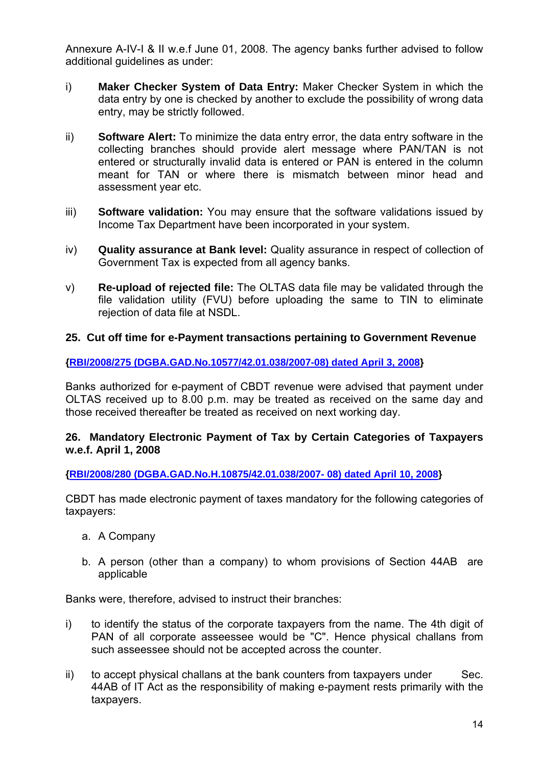Annexure A-IV-I & II w.e.f June 01, 2008. The agency banks further advised to follow additional guidelines as under:

- i) **Maker Checker System of Data Entry:** Maker Checker System in which the data entry by one is checked by another to exclude the possibility of wrong data entry, may be strictly followed.
- ii) **Software Alert:** To minimize the data entry error, the data entry software in the collecting branches should provide alert message where PAN/TAN is not entered or structurally invalid data is entered or PAN is entered in the column meant for TAN or where there is mismatch between minor head and assessment year etc.
- iii) **Software validation:** You may ensure that the software validations issued by Income Tax Department have been incorporated in your system.
- iv) **Quality assurance at Bank level:** Quality assurance in respect of collection of Government Tax is expected from all agency banks.
- v) **Re-upload of rejected file:** The OLTAS data file may be validated through the file validation utility (FVU) before uploading the same to TIN to eliminate rejection of data file at NSDL.

### **25. Cut off time for e-Payment transactions pertaining to Government Revenue**

**[{RBI/2008/275 \(DGBA.GAD.No.10577/42.01.038/2007-08\) dated April 3, 2008](http://rbi.org.in/scripts/NotificationUser.aspx?Id=4097&Mode=0)}** 

Banks authorized for e-payment of CBDT revenue were advised that payment under OLTAS received up to 8.00 p.m. may be treated as received on the same day and those received thereafter be treated as received on next working day.

### **26. Mandatory Electronic Payment of Tax by Certain Categories of Taxpayers w.e.f. April 1, 2008**

**[{RBI/2008/280 \(DGBA.GAD.No.H.10875/42.01.038/2007- 08\) dated April 10, 2008}](http://rbi.org.in/scripts/NotificationUser.aspx?Id=4114&Mode=0)** 

CBDT has made electronic payment of taxes mandatory for the following categories of taxpayers:

- a. A Company
- b. A person (other than a company) to whom provisions of Section 44AB are applicable

Banks were, therefore, advised to instruct their branches:

- i) to identify the status of the corporate taxpayers from the name. The 4th digit of PAN of all corporate asseessee would be "C". Hence physical challans from such asseessee should not be accepted across the counter.
- $\mathbf{i}$  to accept physical challans at the bank counters from taxpayers under Sec. 44AB of IT Act as the responsibility of making e-payment rests primarily with the taxpayers.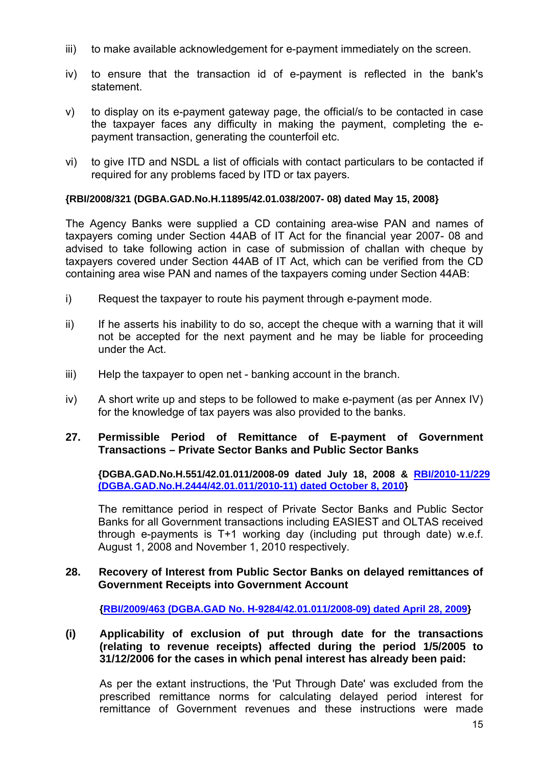- iii) to make available acknowledgement for e-payment immediately on the screen.
- iv) to ensure that the transaction id of e-payment is reflected in the bank's statement.
- v) to display on its e-payment gateway page, the official/s to be contacted in case the taxpayer faces any difficulty in making the payment, completing the epayment transaction, generating the counterfoil etc.
- vi) to give ITD and NSDL a list of officials with contact particulars to be contacted if required for any problems faced by ITD or tax payers.

#### **{RBI/2008/321 (DGBA.GAD.No.H.11895/42.01.038/2007- 08) dated May 15, 2008}**

The Agency Banks were supplied a CD containing area-wise PAN and names of taxpayers coming under Section 44AB of IT Act for the financial year 2007- 08 and advised to take following action in case of submission of challan with cheque by taxpayers covered under Section 44AB of IT Act, which can be verified from the CD containing area wise PAN and names of the taxpayers coming under Section 44AB:

- i) Request the taxpayer to route his payment through e-payment mode.
- ii) If he asserts his inability to do so, accept the cheque with a warning that it will not be accepted for the next payment and he may be liable for proceeding under the Act.
- iii) Help the taxpayer to open net banking account in the branch.
- iv) A short write up and steps to be followed to make e-payment (as per Annex IV) for the knowledge of tax payers was also provided to the banks.

### **27. Permissible Period of Remittance of E-payment of Government Transactions – Private Sector Banks and Public Sector Banks**

**{DGBA.GAD.No.H.551/42.01.011/2008-09 dated July 18, 2008 & [RBI/2010-11/229](http://rbi.org.in/scripts/NotificationUser.aspx?Id=6033&Mode=0) [\(DGBA.GAD.No.H.2444/42.01.011/2010-11\) dated October 8, 2010](http://rbi.org.in/scripts/NotificationUser.aspx?Id=6033&Mode=0)}** 

The remittance period in respect of Private Sector Banks and Public Sector Banks for all Government transactions including EASIEST and OLTAS received through e-payments is T+1 working day (including put through date) w.e.f. August 1, 2008 and November 1, 2010 respectively.

#### **28. Recovery of Interest from Public Sector Banks on delayed remittances of Government Receipts into Government Account**

**{[RBI/2009/463 \(DGBA.GAD No. H-9284/42.01.011/2008-09\) dated April 28, 2009}](http://rbi.org.in/scripts/NotificationUser.aspx?Id=4973&Mode=0)** 

### **(i) Applicability of exclusion of put through date for the transactions (relating to revenue receipts) affected during the period 1/5/2005 to 31/12/2006 for the cases in which penal interest has already been paid:**

As per the extant instructions, the 'Put Through Date' was excluded from the prescribed remittance norms for calculating delayed period interest for remittance of Government revenues and these instructions were made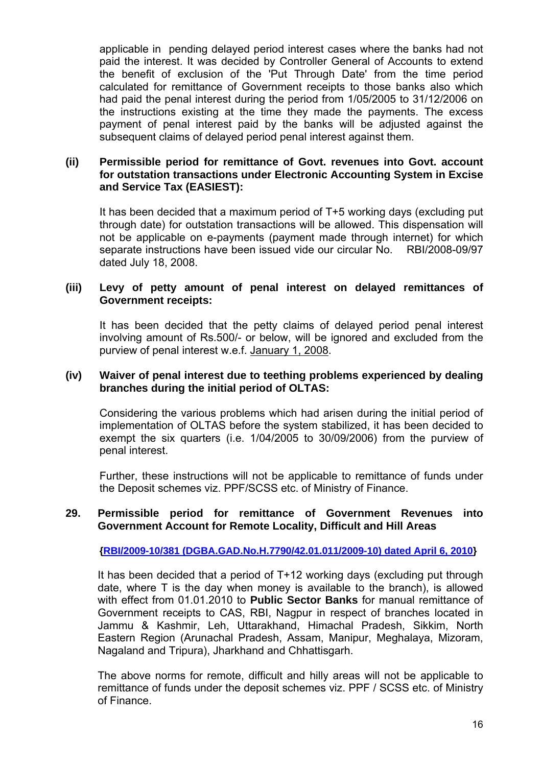applicable in pending delayed period interest cases where the banks had not paid the interest. It was decided by Controller General of Accounts to extend the benefit of exclusion of the 'Put Through Date' from the time period calculated for remittance of Government receipts to those banks also which had paid the penal interest during the period from 1/05/2005 to 31/12/2006 on the instructions existing at the time they made the payments. The excess payment of penal interest paid by the banks will be adjusted against the subsequent claims of delayed period penal interest against them.

### **(ii) Permissible period for remittance of Govt. revenues into Govt. account for outstation transactions under Electronic Accounting System in Excise and Service Tax (EASIEST):**

It has been decided that a maximum period of T+5 working days (excluding put through date) for outstation transactions will be allowed. This dispensation will not be applicable on e-payments (payment made through internet) for which separate instructions have been issued vide our circular No. RBI/2008-09/97 dated July 18, 2008.

#### **(iii) Levy of petty amount of penal interest on delayed remittances of Government receipts:**

It has been decided that the petty claims of delayed period penal interest involving amount of Rs.500/- or below, will be ignored and excluded from the purview of penal interest w.e.f. January 1, 2008.

#### **(iv) Waiver of penal interest due to teething problems experienced by dealing branches during the initial period of OLTAS:**

Considering the various problems which had arisen during the initial period of implementation of OLTAS before the system stabilized, it has been decided to exempt the six quarters (i.e. 1/04/2005 to 30/09/2006) from the purview of penal interest.

Further, these instructions will not be applicable to remittance of funds under the Deposit schemes viz. PPF/SCSS etc. of Ministry of Finance.

#### **29. Permissible period for remittance of Government Revenues into Government Account for Remote Locality, Difficult and Hill Areas**

**{[RBI/2009-10/381 \(DGBA.GAD.No.H.7790/42.01.011/2009-10\) dated April 6, 2010}](http://www.rbi.org.in/scripts/NotificationUser.aspx?Id=5571&Mode=0)** 

It has been decided that a period of T+12 working days (excluding put through date, where T is the day when money is available to the branch), is allowed with effect from 01.01.2010 to **Public Sector Banks** for manual remittance of Government receipts to CAS, RBI, Nagpur in respect of branches located in Jammu & Kashmir, Leh, Uttarakhand, Himachal Pradesh, Sikkim, North Eastern Region (Arunachal Pradesh, Assam, Manipur, Meghalaya, Mizoram, Nagaland and Tripura), Jharkhand and Chhattisgarh.

The above norms for remote, difficult and hilly areas will not be applicable to remittance of funds under the deposit schemes viz. PPF / SCSS etc. of Ministry of Finance.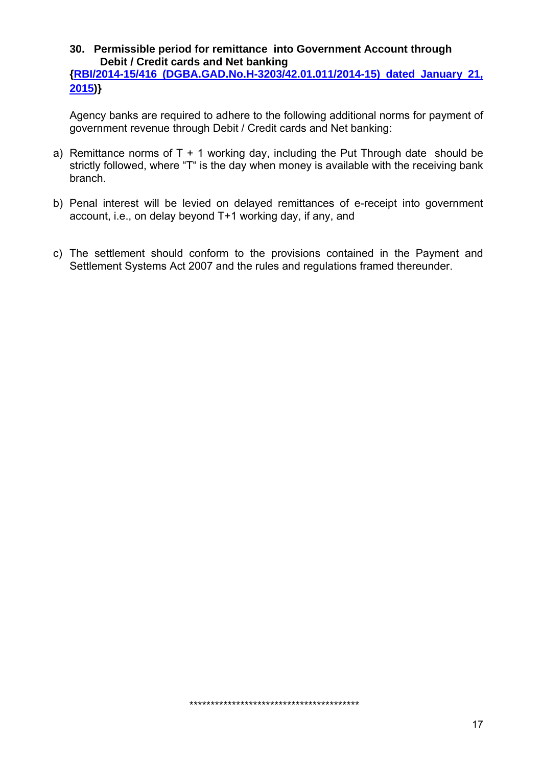**30. Permissible period for remittance into Government Account through Debit / Credit cards and Net banking** 

**[{RBI/2014-15/416 \(DGBA.GAD.No.H-3203/42.01.011/2014-15\) dated January 21,](http://www.rbi.org.in/scripts/NotificationUser.aspx?Id=9501&Mode=0)  [2015](http://www.rbi.org.in/scripts/NotificationUser.aspx?Id=9501&Mode=0))}** 

Agency banks are required to adhere to the following additional norms for payment of government revenue through Debit / Credit cards and Net banking:

- a) Remittance norms of  $T + 1$  working day, including the Put Through date should be strictly followed, where "T" is the day when money is available with the receiving bank branch.
- b) Penal interest will be levied on delayed remittances of e-receipt into government account, i.e., on delay beyond T+1 working day, if any, and
- c) The settlement should conform to the provisions contained in the Payment and Settlement Systems Act 2007 and the rules and regulations framed thereunder.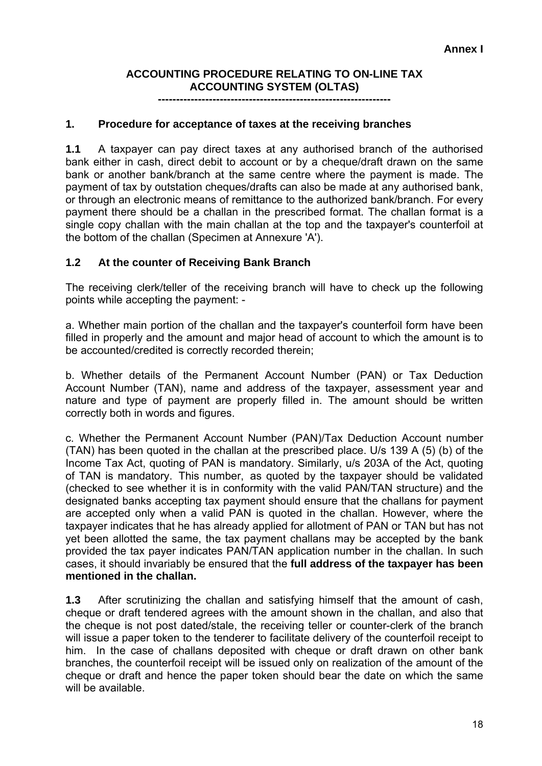## **ACCOUNTING PROCEDURE RELATING TO ON-LINE TAX ACCOUNTING SYSTEM (OLTAS)**

**----------------------------------------------------------------** 

### **1. Procedure for acceptance of taxes at the receiving branches**

**1.1** A taxpayer can pay direct taxes at any authorised branch of the authorised bank either in cash, direct debit to account or by a cheque/draft drawn on the same bank or another bank/branch at the same centre where the payment is made. The payment of tax by outstation cheques/drafts can also be made at any authorised bank, or through an electronic means of remittance to the authorized bank/branch. For every payment there should be a challan in the prescribed format. The challan format is a single copy challan with the main challan at the top and the taxpayer's counterfoil at the bottom of the challan (Specimen at Annexure 'A').

### **1.2 At the counter of Receiving Bank Branch**

The receiving clerk/teller of the receiving branch will have to check up the following points while accepting the payment: -

a. Whether main portion of the challan and the taxpayer's counterfoil form have been filled in properly and the amount and major head of account to which the amount is to be accounted/credited is correctly recorded therein;

b. Whether details of the Permanent Account Number (PAN) or Tax Deduction Account Number (TAN), name and address of the taxpayer, assessment year and nature and type of payment are properly filled in. The amount should be written correctly both in words and figures.

c. Whether the Permanent Account Number (PAN)/Tax Deduction Account number (TAN) has been quoted in the challan at the prescribed place. U/s 139 A (5) (b) of the Income Tax Act, quoting of PAN is mandatory. Similarly, u/s 203A of the Act, quoting of TAN is mandatory. This number, as quoted by the taxpayer should be validated (checked to see whether it is in conformity with the valid PAN/TAN structure) and the designated banks accepting tax payment should ensure that the challans for payment are accepted only when a valid PAN is quoted in the challan. However, where the taxpayer indicates that he has already applied for allotment of PAN or TAN but has not yet been allotted the same, the tax payment challans may be accepted by the bank provided the tax payer indicates PAN/TAN application number in the challan. In such cases, it should invariably be ensured that the **full address of the taxpayer has been mentioned in the challan.** 

**1.3** After scrutinizing the challan and satisfying himself that the amount of cash, cheque or draft tendered agrees with the amount shown in the challan, and also that the cheque is not post dated/stale, the receiving teller or counter-clerk of the branch will issue a paper token to the tenderer to facilitate delivery of the counterfoil receipt to him. In the case of challans deposited with cheque or draft drawn on other bank branches, the counterfoil receipt will be issued only on realization of the amount of the cheque or draft and hence the paper token should bear the date on which the same will be available.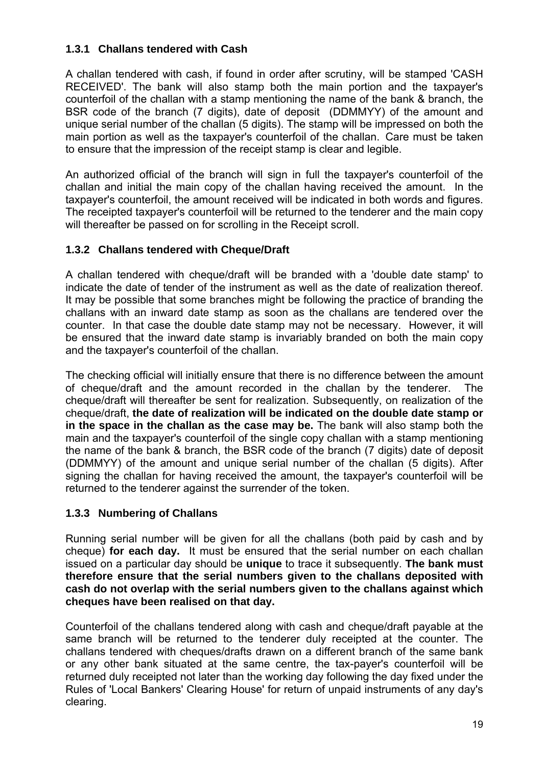## **1.3.1 Challans tendered with Cash**

A challan tendered with cash, if found in order after scrutiny, will be stamped 'CASH RECEIVED'. The bank will also stamp both the main portion and the taxpayer's counterfoil of the challan with a stamp mentioning the name of the bank & branch, the BSR code of the branch (7 digits), date of deposit (DDMMYY) of the amount and unique serial number of the challan (5 digits). The stamp will be impressed on both the main portion as well as the taxpayer's counterfoil of the challan. Care must be taken to ensure that the impression of the receipt stamp is clear and legible.

An authorized official of the branch will sign in full the taxpayer's counterfoil of the challan and initial the main copy of the challan having received the amount. In the taxpayer's counterfoil, the amount received will be indicated in both words and figures. The receipted taxpayer's counterfoil will be returned to the tenderer and the main copy will thereafter be passed on for scrolling in the Receipt scroll.

## **1.3.2 Challans tendered with Cheque/Draft**

A challan tendered with cheque/draft will be branded with a 'double date stamp' to indicate the date of tender of the instrument as well as the date of realization thereof. It may be possible that some branches might be following the practice of branding the challans with an inward date stamp as soon as the challans are tendered over the counter. In that case the double date stamp may not be necessary. However, it will be ensured that the inward date stamp is invariably branded on both the main copy and the taxpayer's counterfoil of the challan.

The checking official will initially ensure that there is no difference between the amount of cheque/draft and the amount recorded in the challan by the tenderer. The cheque/draft will thereafter be sent for realization. Subsequently, on realization of the cheque/draft, **the date of realization will be indicated on the double date stamp or in the space in the challan as the case may be.** The bank will also stamp both the main and the taxpayer's counterfoil of the single copy challan with a stamp mentioning the name of the bank & branch, the BSR code of the branch (7 digits) date of deposit (DDMMYY) of the amount and unique serial number of the challan (5 digits). After signing the challan for having received the amount, the taxpayer's counterfoil will be returned to the tenderer against the surrender of the token.

## **1.3.3 Numbering of Challans**

Running serial number will be given for all the challans (both paid by cash and by cheque) **for each day.** It must be ensured that the serial number on each challan issued on a particular day should be **unique** to trace it subsequently. **The bank must therefore ensure that the serial numbers given to the challans deposited with cash do not overlap with the serial numbers given to the challans against which cheques have been realised on that day.**

Counterfoil of the challans tendered along with cash and cheque/draft payable at the same branch will be returned to the tenderer duly receipted at the counter. The challans tendered with cheques/drafts drawn on a different branch of the same bank or any other bank situated at the same centre, the tax-payer's counterfoil will be returned duly receipted not later than the working day following the day fixed under the Rules of 'Local Bankers' Clearing House' for return of unpaid instruments of any day's clearing.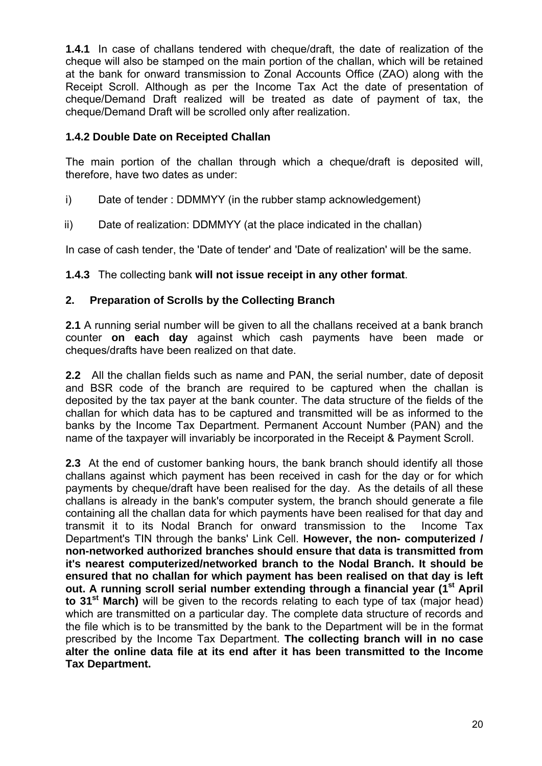**1.4.1** In case of challans tendered with cheque/draft, the date of realization of the cheque will also be stamped on the main portion of the challan, which will be retained at the bank for onward transmission to Zonal Accounts Office (ZAO) along with the Receipt Scroll. Although as per the Income Tax Act the date of presentation of cheque/Demand Draft realized will be treated as date of payment of tax, the cheque/Demand Draft will be scrolled only after realization.

## **1.4.2 Double Date on Receipted Challan**

The main portion of the challan through which a cheque/draft is deposited will, therefore, have two dates as under:

- i) Date of tender : DDMMYY (in the rubber stamp acknowledgement)
- ii) Date of realization: DDMMYY (at the place indicated in the challan)

In case of cash tender, the 'Date of tender' and 'Date of realization' will be the same.

## **1.4.3** The collecting bank **will not issue receipt in any other format**.

## **2. Preparation of Scrolls by the Collecting Branch**

**2.1** A running serial number will be given to all the challans received at a bank branch counter **on each day** against which cash payments have been made or cheques/drafts have been realized on that date.

**2.2** All the challan fields such as name and PAN, the serial number, date of deposit and BSR code of the branch are required to be captured when the challan is deposited by the tax payer at the bank counter. The data structure of the fields of the challan for which data has to be captured and transmitted will be as informed to the banks by the Income Tax Department. Permanent Account Number (PAN) and the name of the taxpayer will invariably be incorporated in the Receipt & Payment Scroll.

**2.3** At the end of customer banking hours, the bank branch should identify all those challans against which payment has been received in cash for the day or for which payments by cheque/draft have been realised for the day. As the details of all these challans is already in the bank's computer system, the branch should generate a file containing all the challan data for which payments have been realised for that day and transmit it to its Nodal Branch for onward transmission to the Income Tax Department's TIN through the banks' Link Cell. **However, the non- computerized / non-networked authorized branches should ensure that data is transmitted from it's nearest computerized/networked branch to the Nodal Branch. It should be ensured that no challan for which payment has been realised on that day is left**  out. A running scroll serial number extending through a financial year (1<sup>st</sup> April **to 31st March)** will be given to the records relating to each type of tax (major head) which are transmitted on a particular day. The complete data structure of records and the file which is to be transmitted by the bank to the Department will be in the format prescribed by the Income Tax Department. **The collecting branch will in no case alter the online data file at its end after it has been transmitted to the Income Tax Department.**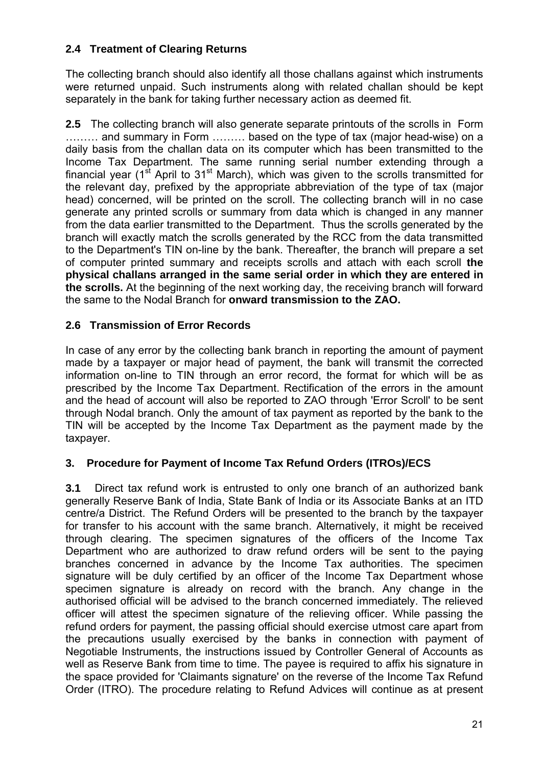## **2.4 Treatment of Clearing Returns**

The collecting branch should also identify all those challans against which instruments were returned unpaid. Such instruments along with related challan should be kept separately in the bank for taking further necessary action as deemed fit.

**2.5** The collecting branch will also generate separate printouts of the scrolls in Form ……… and summary in Form ……… based on the type of tax (major head-wise) on a daily basis from the challan data on its computer which has been transmitted to the Income Tax Department. The same running serial number extending through a financial year ( $1<sup>st</sup>$  April to  $31<sup>st</sup>$  March), which was given to the scrolls transmitted for the relevant day, prefixed by the appropriate abbreviation of the type of tax (major head) concerned, will be printed on the scroll. The collecting branch will in no case generate any printed scrolls or summary from data which is changed in any manner from the data earlier transmitted to the Department. Thus the scrolls generated by the branch will exactly match the scrolls generated by the RCC from the data transmitted to the Department's TIN on-line by the bank. Thereafter, the branch will prepare a set of computer printed summary and receipts scrolls and attach with each scroll **the physical challans arranged in the same serial order in which they are entered in the scrolls.** At the beginning of the next working day, the receiving branch will forward the same to the Nodal Branch for **onward transmission to the ZAO.**

## **2.6 Transmission of Error Records**

In case of any error by the collecting bank branch in reporting the amount of payment made by a taxpayer or major head of payment, the bank will transmit the corrected information on-line to TIN through an error record, the format for which will be as prescribed by the Income Tax Department. Rectification of the errors in the amount and the head of account will also be reported to ZAO through 'Error Scroll' to be sent through Nodal branch. Only the amount of tax payment as reported by the bank to the TIN will be accepted by the Income Tax Department as the payment made by the taxpayer.

## **3. Procedure for Payment of Income Tax Refund Orders (ITROs)/ECS**

**3.1** Direct tax refund work is entrusted to only one branch of an authorized bank generally Reserve Bank of India, State Bank of India or its Associate Banks at an ITD centre/a District. The Refund Orders will be presented to the branch by the taxpayer for transfer to his account with the same branch. Alternatively, it might be received through clearing. The specimen signatures of the officers of the Income Tax Department who are authorized to draw refund orders will be sent to the paying branches concerned in advance by the Income Tax authorities. The specimen signature will be duly certified by an officer of the Income Tax Department whose specimen signature is already on record with the branch. Any change in the authorised official will be advised to the branch concerned immediately. The relieved officer will attest the specimen signature of the relieving officer. While passing the refund orders for payment, the passing official should exercise utmost care apart from the precautions usually exercised by the banks in connection with payment of Negotiable Instruments, the instructions issued by Controller General of Accounts as well as Reserve Bank from time to time. The payee is required to affix his signature in the space provided for 'Claimants signature' on the reverse of the Income Tax Refund Order (ITRO). The procedure relating to Refund Advices will continue as at present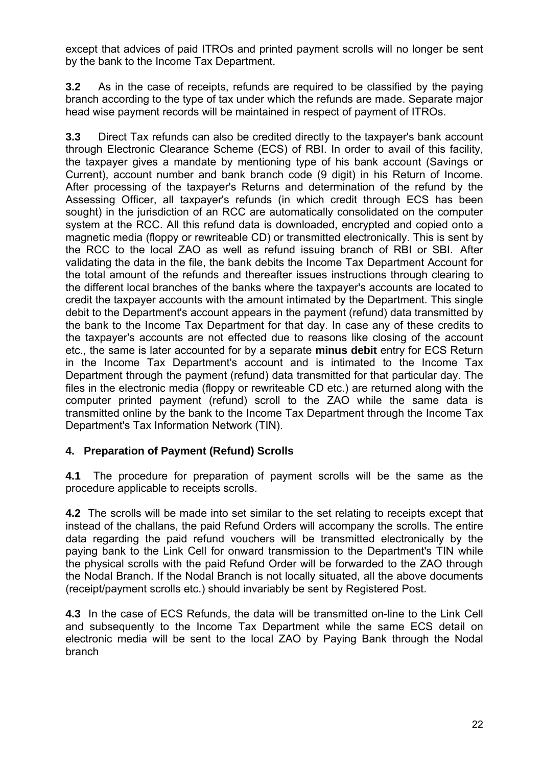except that advices of paid ITROs and printed payment scrolls will no longer be sent by the bank to the Income Tax Department.

**3.2** As in the case of receipts, refunds are required to be classified by the paying branch according to the type of tax under which the refunds are made. Separate major head wise payment records will be maintained in respect of payment of ITROs.

**3.3** Direct Tax refunds can also be credited directly to the taxpayer's bank account through Electronic Clearance Scheme (ECS) of RBI. In order to avail of this facility, the taxpayer gives a mandate by mentioning type of his bank account (Savings or Current), account number and bank branch code (9 digit) in his Return of Income. After processing of the taxpayer's Returns and determination of the refund by the Assessing Officer, all taxpayer's refunds (in which credit through ECS has been sought) in the jurisdiction of an RCC are automatically consolidated on the computer system at the RCC. All this refund data is downloaded, encrypted and copied onto a magnetic media (floppy or rewriteable CD) or transmitted electronically. This is sent by the RCC to the local ZAO as well as refund issuing branch of RBI or SBI. After validating the data in the file, the bank debits the Income Tax Department Account for the total amount of the refunds and thereafter issues instructions through clearing to the different local branches of the banks where the taxpayer's accounts are located to credit the taxpayer accounts with the amount intimated by the Department. This single debit to the Department's account appears in the payment (refund) data transmitted by the bank to the Income Tax Department for that day. In case any of these credits to the taxpayer's accounts are not effected due to reasons like closing of the account etc., the same is later accounted for by a separate **minus debit** entry for ECS Return in the Income Tax Department's account and is intimated to the Income Tax Department through the payment (refund) data transmitted for that particular day. The files in the electronic media (floppy or rewriteable CD etc.) are returned along with the computer printed payment (refund) scroll to the ZAO while the same data is transmitted online by the bank to the Income Tax Department through the Income Tax Department's Tax Information Network (TIN).

## **4. Preparation of Payment (Refund) Scrolls**

**4.1** The procedure for preparation of payment scrolls will be the same as the procedure applicable to receipts scrolls.

**4.2** The scrolls will be made into set similar to the set relating to receipts except that instead of the challans, the paid Refund Orders will accompany the scrolls. The entire data regarding the paid refund vouchers will be transmitted electronically by the paying bank to the Link Cell for onward transmission to the Department's TIN while the physical scrolls with the paid Refund Order will be forwarded to the ZAO through the Nodal Branch. If the Nodal Branch is not locally situated, all the above documents (receipt/payment scrolls etc.) should invariably be sent by Registered Post.

**4.3** In the case of ECS Refunds, the data will be transmitted on-line to the Link Cell and subsequently to the Income Tax Department while the same ECS detail on electronic media will be sent to the local ZAO by Paying Bank through the Nodal branch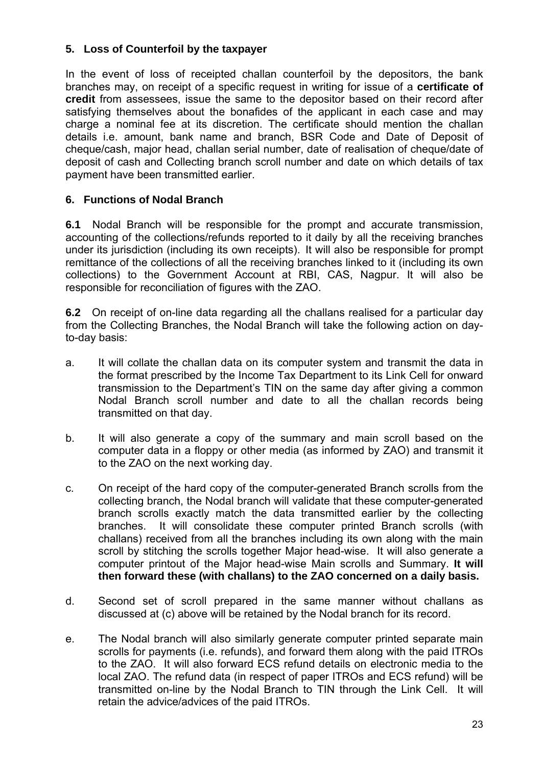## **5. Loss of Counterfoil by the taxpayer**

In the event of loss of receipted challan counterfoil by the depositors, the bank branches may, on receipt of a specific request in writing for issue of a **certificate of credit** from assessees, issue the same to the depositor based on their record after satisfying themselves about the bonafides of the applicant in each case and may charge a nominal fee at its discretion. The certificate should mention the challan details i.e. amount, bank name and branch, BSR Code and Date of Deposit of cheque/cash, major head, challan serial number, date of realisation of cheque/date of deposit of cash and Collecting branch scroll number and date on which details of tax payment have been transmitted earlier.

## **6. Functions of Nodal Branch**

**6.1** Nodal Branch will be responsible for the prompt and accurate transmission, accounting of the collections/refunds reported to it daily by all the receiving branches under its jurisdiction (including its own receipts). It will also be responsible for prompt remittance of the collections of all the receiving branches linked to it (including its own collections) to the Government Account at RBI, CAS, Nagpur. It will also be responsible for reconciliation of figures with the ZAO.

**6.2** On receipt of on-line data regarding all the challans realised for a particular day from the Collecting Branches, the Nodal Branch will take the following action on dayto-day basis:

- a. It will collate the challan data on its computer system and transmit the data in the format prescribed by the Income Tax Department to its Link Cell for onward transmission to the Department's TIN on the same day after giving a common Nodal Branch scroll number and date to all the challan records being transmitted on that day.
- b. It will also generate a copy of the summary and main scroll based on the computer data in a floppy or other media (as informed by ZAO) and transmit it to the ZAO on the next working day.
- c. On receipt of the hard copy of the computer-generated Branch scrolls from the collecting branch, the Nodal branch will validate that these computer-generated branch scrolls exactly match the data transmitted earlier by the collecting branches. It will consolidate these computer printed Branch scrolls (with challans) received from all the branches including its own along with the main scroll by stitching the scrolls together Major head-wise. It will also generate a computer printout of the Major head-wise Main scrolls and Summary. **It will then forward these (with challans) to the ZAO concerned on a daily basis.**
- d. Second set of scroll prepared in the same manner without challans as discussed at (c) above will be retained by the Nodal branch for its record.
- e. The Nodal branch will also similarly generate computer printed separate main scrolls for payments (i.e. refunds), and forward them along with the paid ITROs to the ZAO. It will also forward ECS refund details on electronic media to the local ZAO. The refund data (in respect of paper ITROs and ECS refund) will be transmitted on-line by the Nodal Branch to TIN through the Link Cell. It will retain the advice/advices of the paid ITROs.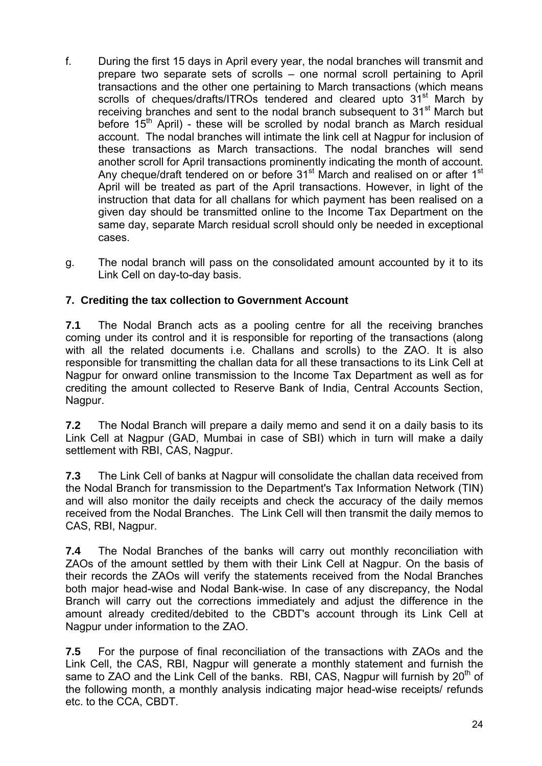- f. During the first 15 days in April every year, the nodal branches will transmit and prepare two separate sets of scrolls – one normal scroll pertaining to April transactions and the other one pertaining to March transactions (which means scrolls of cheques/drafts/ITROs tendered and cleared upto 31<sup>st</sup> March by receiving branches and sent to the nodal branch subsequent to 31<sup>st</sup> March but before  $15<sup>th</sup>$  April) - these will be scrolled by nodal branch as March residual account. The nodal branches will intimate the link cell at Nagpur for inclusion of these transactions as March transactions. The nodal branches will send another scroll for April transactions prominently indicating the month of account. Any cheque/draft tendered on or before 31<sup>st</sup> March and realised on or after 1<sup>st</sup> April will be treated as part of the April transactions. However, in light of the instruction that data for all challans for which payment has been realised on a given day should be transmitted online to the Income Tax Department on the same day, separate March residual scroll should only be needed in exceptional cases.
- g. The nodal branch will pass on the consolidated amount accounted by it to its Link Cell on day-to-day basis.

## **7. Crediting the tax collection to Government Account**

**7.1** The Nodal Branch acts as a pooling centre for all the receiving branches coming under its control and it is responsible for reporting of the transactions (along with all the related documents i.e. Challans and scrolls) to the ZAO. It is also responsible for transmitting the challan data for all these transactions to its Link Cell at Nagpur for onward online transmission to the Income Tax Department as well as for crediting the amount collected to Reserve Bank of India, Central Accounts Section, Nagpur.

**7.2** The Nodal Branch will prepare a daily memo and send it on a daily basis to its Link Cell at Nagpur (GAD, Mumbai in case of SBI) which in turn will make a daily settlement with RBI, CAS, Nagpur.

**7.3** The Link Cell of banks at Nagpur will consolidate the challan data received from the Nodal Branch for transmission to the Department's Tax Information Network (TIN) and will also monitor the daily receipts and check the accuracy of the daily memos received from the Nodal Branches. The Link Cell will then transmit the daily memos to CAS, RBI, Nagpur.

**7.4** The Nodal Branches of the banks will carry out monthly reconciliation with ZAOs of the amount settled by them with their Link Cell at Nagpur. On the basis of their records the ZAOs will verify the statements received from the Nodal Branches both major head-wise and Nodal Bank-wise. In case of any discrepancy, the Nodal Branch will carry out the corrections immediately and adjust the difference in the amount already credited/debited to the CBDT's account through its Link Cell at Nagpur under information to the ZAO.

**7.5** For the purpose of final reconciliation of the transactions with ZAOs and the Link Cell, the CAS, RBI, Nagpur will generate a monthly statement and furnish the same to ZAO and the Link Cell of the banks. RBI, CAS, Nagpur will furnish by  $20<sup>th</sup>$  of the following month, a monthly analysis indicating major head-wise receipts/ refunds etc. to the CCA, CBDT.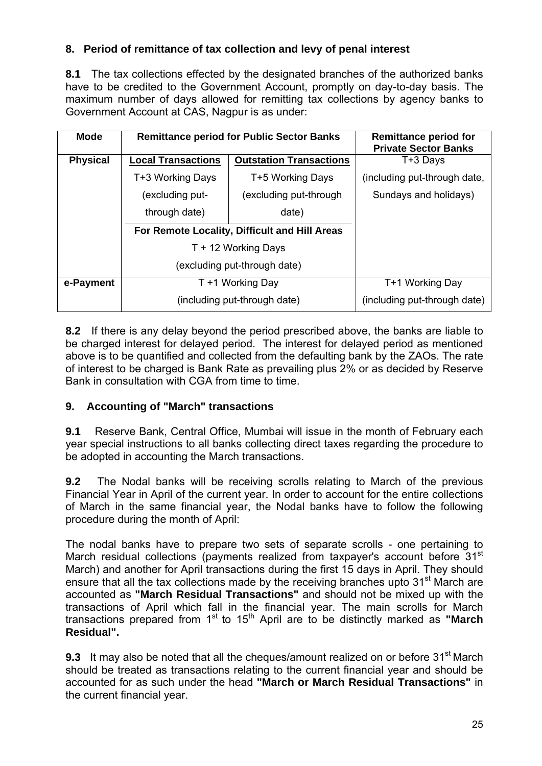## **8. Period of remittance of tax collection and levy of penal interest**

**8.1** The tax collections effected by the designated branches of the authorized banks have to be credited to the Government Account, promptly on day-to-day basis. The maximum number of days allowed for remitting tax collections by agency banks to Government Account at CAS, Nagpur is as under:

| <b>Mode</b>     | <b>Remittance period for Public Sector Banks</b> |                                | <b>Remittance period for</b><br><b>Private Sector Banks</b> |
|-----------------|--------------------------------------------------|--------------------------------|-------------------------------------------------------------|
| <b>Physical</b> | <b>Local Transactions</b>                        | <b>Outstation Transactions</b> | T+3 Days                                                    |
|                 | T+3 Working Days                                 | T+5 Working Days               | (including put-through date,                                |
|                 | (excluding put-                                  | (excluding put-through         | Sundays and holidays)                                       |
|                 | through date)                                    | date)                          |                                                             |
|                 | For Remote Locality, Difficult and Hill Areas    |                                |                                                             |
|                 | T + 12 Working Days                              |                                |                                                             |
|                 | (excluding put-through date)                     |                                |                                                             |
| e-Payment       | T +1 Working Day                                 |                                | T+1 Working Day                                             |
|                 |                                                  | (including put-through date)   | (including put-through date)                                |

**8.2** If there is any delay beyond the period prescribed above, the banks are liable to be charged interest for delayed period. The interest for delayed period as mentioned above is to be quantified and collected from the defaulting bank by the ZAOs. The rate of interest to be charged is Bank Rate as prevailing plus 2% or as decided by Reserve Bank in consultation with CGA from time to time.

## **9. Accounting of "March" transactions**

**9.1** Reserve Bank, Central Office, Mumbai will issue in the month of February each year special instructions to all banks collecting direct taxes regarding the procedure to be adopted in accounting the March transactions.

**9.2** The Nodal banks will be receiving scrolls relating to March of the previous Financial Year in April of the current year. In order to account for the entire collections of March in the same financial year, the Nodal banks have to follow the following procedure during the month of April:

The nodal banks have to prepare two sets of separate scrolls - one pertaining to March residual collections (payments realized from taxpayer's account before 31<sup>st</sup> March) and another for April transactions during the first 15 days in April. They should ensure that all the tax collections made by the receiving branches upto 31<sup>st</sup> March are accounted as **"March Residual Transactions"** and should not be mixed up with the transactions of April which fall in the financial year. The main scrolls for March transactions prepared from 1<sup>st</sup> to 15<sup>th</sup> April are to be distinctly marked as **"March Residual".** 

**9.3** It may also be noted that all the cheques/amount realized on or before 31<sup>st</sup> March should be treated as transactions relating to the current financial year and should be accounted for as such under the head **"March or March Residual Transactions"** in the current financial year.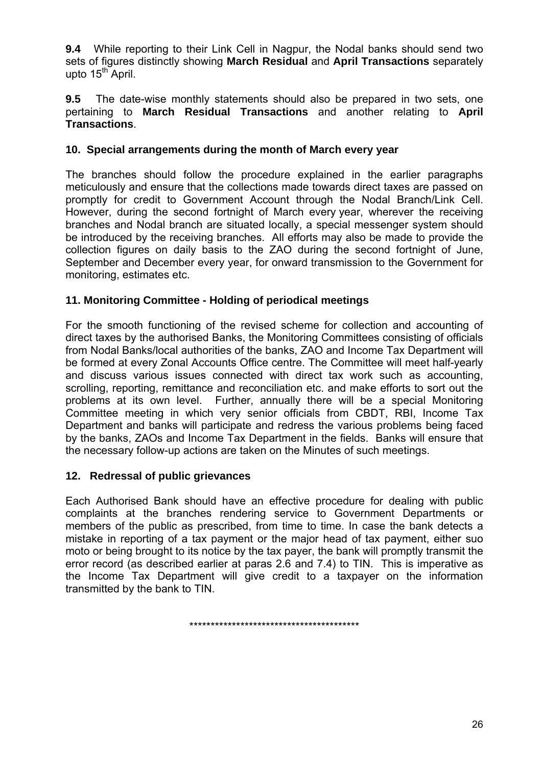**9.4** While reporting to their Link Cell in Nagpur, the Nodal banks should send two sets of figures distinctly showing **March Residual** and **April Transactions** separately upto  $15<sup>th</sup>$  April.

**9.5** The date-wise monthly statements should also be prepared in two sets, one pertaining to **March Residual Transactions** and another relating to **April Transactions**.

### **10. Special arrangements during the month of March every year**

The branches should follow the procedure explained in the earlier paragraphs meticulously and ensure that the collections made towards direct taxes are passed on promptly for credit to Government Account through the Nodal Branch/Link Cell. However, during the second fortnight of March every year, wherever the receiving branches and Nodal branch are situated locally, a special messenger system should be introduced by the receiving branches. All efforts may also be made to provide the collection figures on daily basis to the ZAO during the second fortnight of June, September and December every year, for onward transmission to the Government for monitoring, estimates etc.

### **11. Monitoring Committee - Holding of periodical meetings**

For the smooth functioning of the revised scheme for collection and accounting of direct taxes by the authorised Banks, the Monitoring Committees consisting of officials from Nodal Banks/local authorities of the banks, ZAO and Income Tax Department will be formed at every Zonal Accounts Office centre. The Committee will meet half-yearly and discuss various issues connected with direct tax work such as accounting, scrolling, reporting, remittance and reconciliation etc. and make efforts to sort out the problems at its own level. Further, annually there will be a special Monitoring Committee meeting in which very senior officials from CBDT, RBI, Income Tax Department and banks will participate and redress the various problems being faced by the banks, ZAOs and Income Tax Department in the fields. Banks will ensure that the necessary follow-up actions are taken on the Minutes of such meetings.

### **12. Redressal of public grievances**

Each Authorised Bank should have an effective procedure for dealing with public complaints at the branches rendering service to Government Departments or members of the public as prescribed, from time to time. In case the bank detects a mistake in reporting of a tax payment or the major head of tax payment, either suo moto or being brought to its notice by the tax payer, the bank will promptly transmit the error record (as described earlier at paras 2.6 and 7.4) to TIN. This is imperative as the Income Tax Department will give credit to a taxpayer on the information transmitted by the bank to TIN.

\*\*\*\*\*\*\*\*\*\*\*\*\*\*\*\*\*\*\*\*\*\*\*\*\*\*\*\*\*\*\*\*\*\*\*\*\*\*\*\*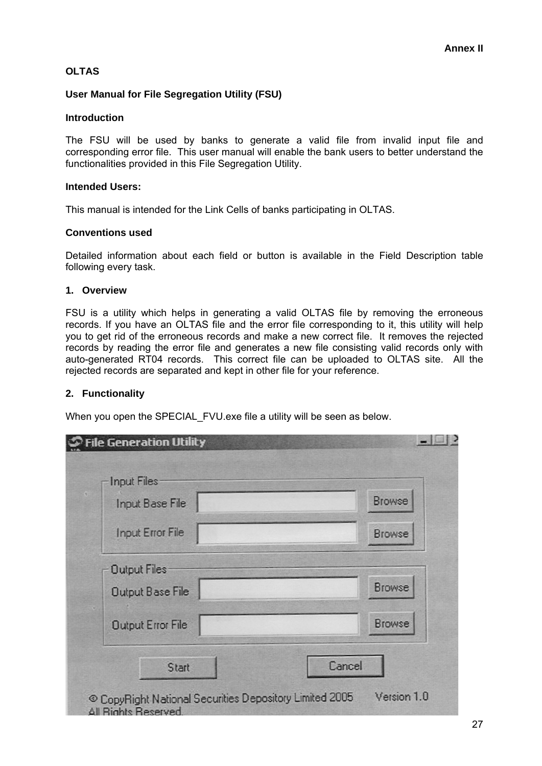#### **OLTAS**

#### **User Manual for File Segregation Utility (FSU)**

#### **Introduction**

The FSU will be used by banks to generate a valid file from invalid input file and corresponding error file. This user manual will enable the bank users to better understand the functionalities provided in this File Segregation Utility.

#### **Intended Users:**

This manual is intended for the Link Cells of banks participating in OLTAS.

#### **Conventions used**

Detailed information about each field or button is available in the Field Description table following every task.

#### **1. Overview**

FSU is a utility which helps in generating a valid OLTAS file by removing the erroneous records. If you have an OLTAS file and the error file corresponding to it, this utility will help you to get rid of the erroneous records and make a new correct file. It removes the rejected records by reading the error file and generates a new file consisting valid records only with auto-generated RT04 records. This correct file can be uploaded to OLTAS site. All the rejected records are separated and kept in other file for your reference.

#### **2. Functionality**

When you open the SPECIAL\_FVU.exe file a utility will be seen as below.

| Input Files-<br>Input Base File | <b>Browse</b> |
|---------------------------------|---------------|
| <b>Input Error File</b>         | <b>Browse</b> |
| Output Files                    |               |
| Output Base File                | <b>Browse</b> |
| <b>Output Error File</b>        | <b>Browse</b> |
| Start                           | Cancel        |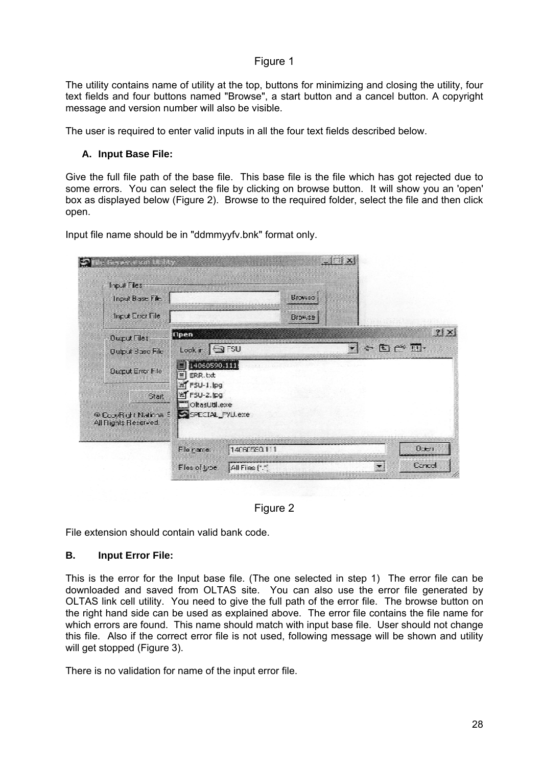#### Figure 1

The utility contains name of utility at the top, buttons for minimizing and closing the utility, four text fields and four buttons named "Browse", a start button and a cancel button. A copyright message and version number will also be visible.

The user is required to enter valid inputs in all the four text fields described below.

#### **A. Input Base File:**

Give the full file path of the base file. This base file is the file which has got rejected due to some errors. You can select the file by clicking on browse button. It will show you an 'open' box as displayed below (Figure 2). Browse to the required folder, select the file and then click open.

Input file name should be in "ddmmyyfv.bnk" format only.



Figure 2

File extension should contain valid bank code.

#### **B. Input Error File:**

This is the error for the Input base file. (The one selected in step 1) The error file can be downloaded and saved from OLTAS site. You can also use the error file generated by OLTAS link cell utility. You need to give the full path of the error file. The browse button on the right hand side can be used as explained above. The error file contains the file name for which errors are found. This name should match with input base file. User should not change this file. Also if the correct error file is not used, following message will be shown and utility will get stopped (Figure 3).

There is no validation for name of the input error file.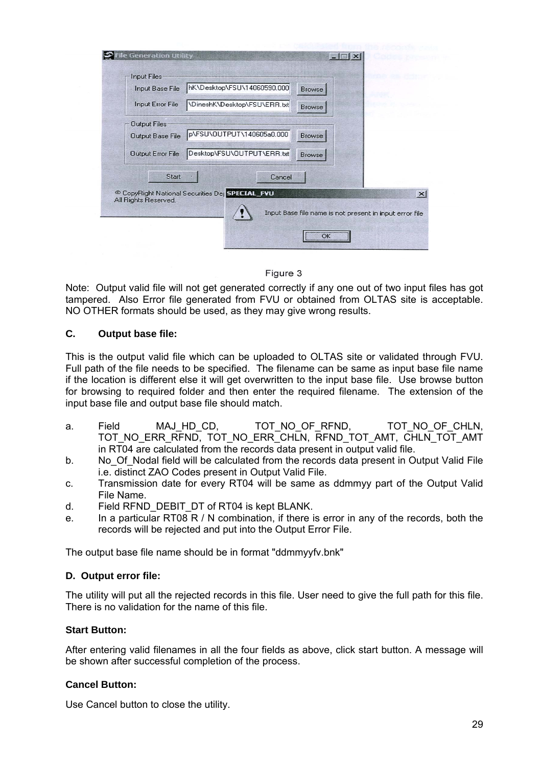| Input Base File      | hK\Desktop\FSU\14060590.000                               | <b>Browse</b>                                           |
|----------------------|-----------------------------------------------------------|---------------------------------------------------------|
| Input Error File     | \DineshK\Desktop\FSU\ERR.txt                              | <b>Browse</b>                                           |
| <b>Output Files</b>  |                                                           |                                                         |
| Output Base File     | p\FSU\OUTPUT\140605a0.000                                 | Browse                                                  |
| Output Error File    | Desktop\FSU\OUTPUT\ERR.txt                                | <b>Browse</b>                                           |
| Start                | Cancel                                                    |                                                         |
| All Rights Reserved. | <sup>©</sup> CopyRight National Securities De SPECIAL FVU |                                                         |
|                      |                                                           | Input Base file name is not present in input error file |

#### Figure 3

Note: Output valid file will not get generated correctly if any one out of two input files has got tampered. Also Error file generated from FVU or obtained from OLTAS site is acceptable. NO OTHER formats should be used, as they may give wrong results.

#### **C. Output base file:**

This is the output valid file which can be uploaded to OLTAS site or validated through FVU. Full path of the file needs to be specified. The filename can be same as input base file name if the location is different else it will get overwritten to the input base file. Use browse button for browsing to required folder and then enter the required filename. The extension of the input base file and output base file should match.

- a. Field MAJ\_HD\_CD, TOT\_NO\_OF\_RFND, TOT\_NO\_OF\_CHLN, TOT\_NO\_ERR\_RFND, TOT\_NO\_ERR\_CHLN, RFND\_TOT\_AMT, CHLN\_TOT\_AMT in RT04 are calculated from the records data present in output valid file.
- b. No\_Of\_Nodal field will be calculated from the records data present in Output Valid File i.e. distinct ZAO Codes present in Output Valid File.
- c. Transmission date for every RT04 will be same as ddmmyy part of the Output Valid File Name.
- d. Field RFND\_DEBIT\_DT of RT04 is kept BLANK.
- e. In a particular RT08 R / N combination, if there is error in any of the records, both the records will be rejected and put into the Output Error File.

The output base file name should be in format "ddmmyyfv.bnk"

#### **D. Output error file:**

The utility will put all the rejected records in this file. User need to give the full path for this file. There is no validation for the name of this file.

#### **Start Button:**

After entering valid filenames in all the four fields as above, click start button. A message will be shown after successful completion of the process.

#### **Cancel Button:**

Use Cancel button to close the utility.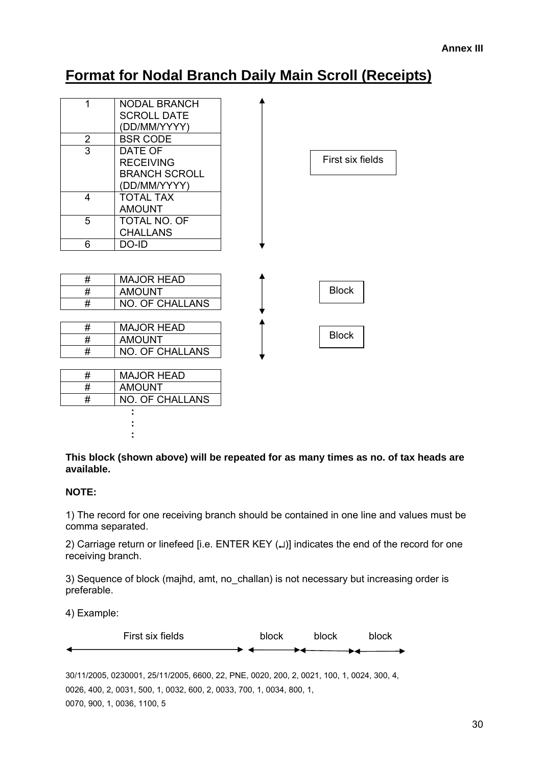# **Format for Nodal Branch Daily Main Scroll (Receipts)**

| 1               | <b>NODAL BRANCH</b>    |                  |
|-----------------|------------------------|------------------|
|                 | <b>SCROLL DATE</b>     |                  |
|                 | (DD/MM/YYYY)           |                  |
| $\overline{2}$  | <b>BSR CODE</b>        |                  |
| $\overline{3}$  | DATE OF                |                  |
|                 | <b>RECEIVING</b>       | First six fields |
|                 | <b>BRANCH SCROLL</b>   |                  |
|                 | (DD/MM/YYYY)           |                  |
| 4               | <b>TOTAL TAX</b>       |                  |
|                 | <b>AMOUNT</b>          |                  |
| 5               | TOTAL NO. OF           |                  |
|                 | <b>CHALLANS</b>        |                  |
| 6               | DO-ID                  |                  |
|                 |                        |                  |
| #               | <b>MAJOR HEAD</b>      |                  |
| #               | <b>AMOUNT</b>          | <b>Block</b>     |
| #               | <b>NO. OF CHALLANS</b> |                  |
|                 |                        |                  |
| #               | <b>MAJOR HEAD</b>      | <b>Block</b>     |
| $\overline{\#}$ | <b>AMOUNT</b>          |                  |
| #               | <b>NO. OF CHALLANS</b> |                  |
|                 |                        |                  |
| #               | <b>MAJOR HEAD</b>      |                  |
| #               | <b>AMOUNT</b>          |                  |
| #               | <b>NO. OF CHALLANS</b> |                  |
|                 |                        |                  |
|                 |                        |                  |
|                 |                        |                  |

**This block (shown above) will be repeated for as many times as no. of tax heads are available.** 

#### **NOTE:**

1) The record for one receiving branch should be contained in one line and values must be comma separated.

2) Carriage return or linefeed [i.e. ENTER KEY (↵)] indicates the end of the record for one receiving branch.

3) Sequence of block (majhd, amt, no\_challan) is not necessary but increasing order is preferable.

4) Example:



30/11/2005, 0230001, 25/11/2005, 6600, 22, PNE, 0020, 200, 2, 0021, 100, 1, 0024, 300, 4, 0026, 400, 2, 0031, 500, 1, 0032, 600, 2, 0033, 700, 1, 0034, 800, 1, 0070, 900, 1, 0036, 1100, 5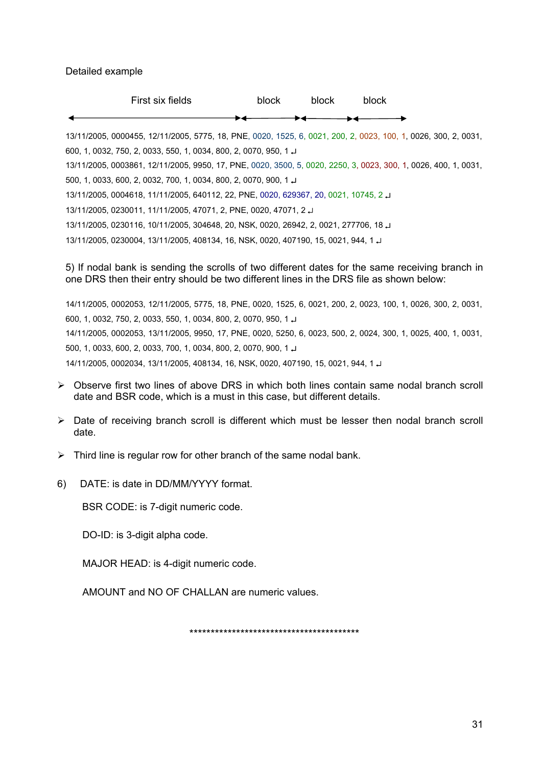Detailed example

| First six fields                                                                                                | block | block | block. |  |
|-----------------------------------------------------------------------------------------------------------------|-------|-------|--------|--|
|                                                                                                                 |       |       |        |  |
| 13/11/2005, 0000455, 12/11/2005, 5775, 18, PNE, 0020, 1525, 6, 0021, 200, 2, 0023, 100, 1, 0026, 300, 2, 0031,  |       |       |        |  |
| 600, 1, 0032, 750, 2, 0033, 550, 1, 0034, 800, 2, 0070, 950, 1, J                                               |       |       |        |  |
| 13/11/2005, 0003861, 12/11/2005, 9950, 17, PNE, 0020, 3500, 5, 0020, 2250, 3, 0023, 300, 1, 0026, 400, 1, 0031, |       |       |        |  |
| 500, 1, 0033, 600, 2, 0032, 700, 1, 0034, 800, 2, 0070, 900, 1                                                  |       |       |        |  |
| 13/11/2005, 0004618, 11/11/2005, 640112, 22, PNE, 0020, 629367, 20, 0021, 10745, 2                              |       |       |        |  |
| 13/11/2005, 0230011, 11/11/2005, 47071, 2, PNE, 0020, 47071, 2                                                  |       |       |        |  |
| لـ 18, 10711/2005, 2020116, 10/11/2005, 304648, 20, NSK, 0020, 26942, 2, 0021, 277706, 18                       |       |       |        |  |
| 13/11/2005, 0230004, 13/11/2005, 408134, 16, NSK, 0020, 407190, 15, 0021, 944, 1                                |       |       |        |  |

5) If nodal bank is sending the scrolls of two different dates for the same receiving branch in one DRS then their entry should be two different lines in the DRS file as shown below:

14/11/2005, 0002053, 12/11/2005, 5775, 18, PNE, 0020, 1525, 6, 0021, 200, 2, 0023, 100, 1, 0026, 300, 2, 0031, 600, 1, 0032, 750, 2, 0033, 550, 1, 0034, 800, 2, 0070, 950, 1 ↵ 14/11/2005, 0002053, 13/11/2005, 9950, 17, PNE, 0020, 5250, 6, 0023, 500, 2, 0024, 300, 1, 0025, 400, 1, 0031, 500, 1, 0033, 600, 2, 0033, 700, 1, 0034, 800, 2, 0070, 900, 1 ↵ 14/11/2005, 0002034, 13/11/2005, 408134, 16, NSK, 0020, 407190, 15, 0021, 944, 1 ↵

- $\triangleright$  Observe first two lines of above DRS in which both lines contain same nodal branch scroll date and BSR code, which is a must in this case, but different details.
- $\triangleright$  Date of receiving branch scroll is different which must be lesser then nodal branch scroll date.
- $\triangleright$  Third line is regular row for other branch of the same nodal bank.
- 6) DATE: is date in DD/MM/YYYY format.

BSR CODE: is 7-digit numeric code.

DO-ID: is 3-digit alpha code.

MAJOR HEAD: is 4-digit numeric code.

AMOUNT and NO OF CHALLAN are numeric values.

\*\*\*\*\*\*\*\*\*\*\*\*\*\*\*\*\*\*\*\*\*\*\*\*\*\*\*\*\*\*\*\*\*\*\*\*\*\*\*\*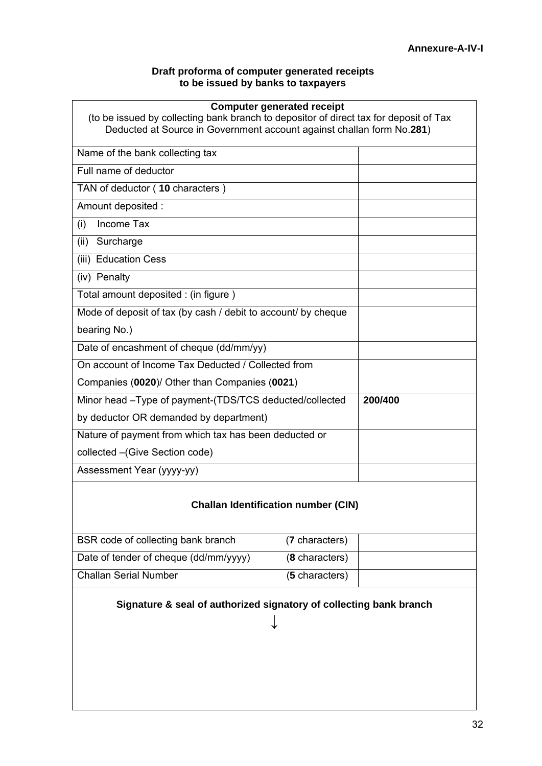#### **Draft proforma of computer generated receipts to be issued by banks to taxpayers**

| <b>Computer generated receipt</b><br>(to be issued by collecting bank branch to depositor of direct tax for deposit of Tax<br>Deducted at Source in Government account against challan form No.281) |         |
|-----------------------------------------------------------------------------------------------------------------------------------------------------------------------------------------------------|---------|
| Name of the bank collecting tax                                                                                                                                                                     |         |
| Full name of deductor                                                                                                                                                                               |         |
| TAN of deductor (10 characters)                                                                                                                                                                     |         |
| Amount deposited :                                                                                                                                                                                  |         |
| Income Tax<br>(i)                                                                                                                                                                                   |         |
| (ii) Surcharge                                                                                                                                                                                      |         |
| (iii) Education Cess                                                                                                                                                                                |         |
| (iv) Penalty                                                                                                                                                                                        |         |
| Total amount deposited : (in figure)                                                                                                                                                                |         |
| Mode of deposit of tax (by cash / debit to account/ by cheque                                                                                                                                       |         |
| bearing No.)                                                                                                                                                                                        |         |
| Date of encashment of cheque (dd/mm/yy)                                                                                                                                                             |         |
| On account of Income Tax Deducted / Collected from                                                                                                                                                  |         |
| Companies (0020)/ Other than Companies (0021)                                                                                                                                                       |         |
| Minor head -Type of payment-(TDS/TCS deducted/collected                                                                                                                                             | 200/400 |
| by deductor OR demanded by department)                                                                                                                                                              |         |
| Nature of payment from which tax has been deducted or                                                                                                                                               |         |
| collected - (Give Section code)                                                                                                                                                                     |         |
| Assessment Year (yyyy-yy)                                                                                                                                                                           |         |

## **Challan Identification number (CIN)**

| BSR code of collecting bank branch    | (7 characters) |
|---------------------------------------|----------------|
| Date of tender of cheque (dd/mm/yyyy) | (8 characters) |
| <b>Challan Serial Number</b>          | (5 characters) |

## **Signature & seal of authorized signatory of collecting bank branch**

↓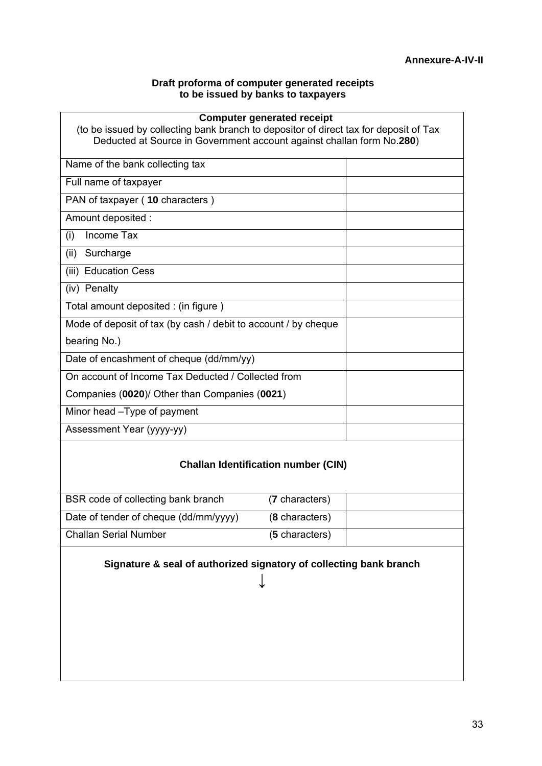#### **Draft proforma of computer generated receipts to be issued by banks to taxpayers**

| <b>Computer generated receipt</b>                                                     |  |
|---------------------------------------------------------------------------------------|--|
| (to be issued by collecting bank branch to depositor of direct tax for deposit of Tax |  |
| Deducted at Source in Government account against challan form No.280)                 |  |
| Name of the bank collecting tax                                                       |  |
| Full name of taxpayer                                                                 |  |
| PAN of taxpayer (10 characters)                                                       |  |
| Amount deposited :                                                                    |  |
| Income Tax<br>(i)                                                                     |  |
| Surcharge<br>(ii)                                                                     |  |
| (iii) Education Cess                                                                  |  |
| (iv) Penalty                                                                          |  |
| Total amount deposited : (in figure)                                                  |  |
| Mode of deposit of tax (by cash / debit to account / by cheque                        |  |
| bearing No.)                                                                          |  |
| Date of encashment of cheque (dd/mm/yy)                                               |  |
| On account of Income Tax Deducted / Collected from                                    |  |
| Companies (0020)/ Other than Companies (0021)                                         |  |
| Minor head - Type of payment                                                          |  |
| Assessment Year (yyyy-yy)                                                             |  |
|                                                                                       |  |

## **Challan Identification number (CIN)**

| BSR code of collecting bank branch    | (7 characters) |  |
|---------------------------------------|----------------|--|
| Date of tender of cheque (dd/mm/yyyy) | (8 characters) |  |
| <b>Challan Serial Number</b>          | (5 characters) |  |

**Signature & seal of authorized signatory of collecting bank branch** 

↓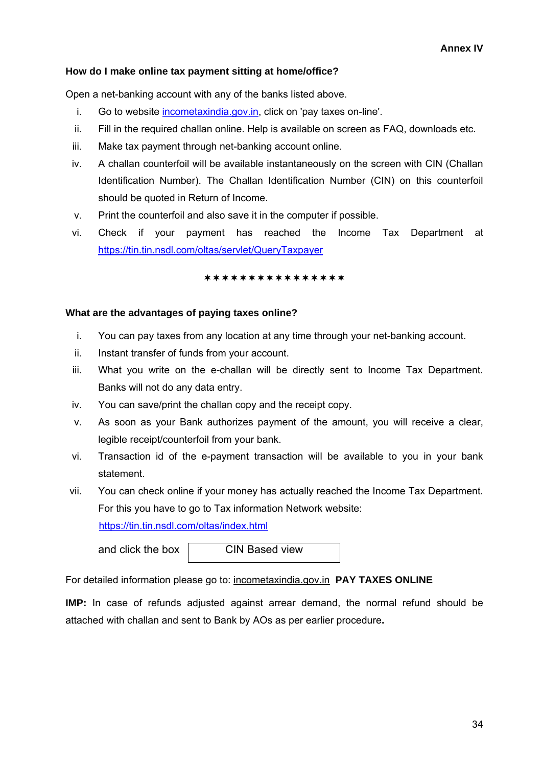#### **How do I make online tax payment sitting at home/office?**

Open a net-banking account with any of the banks listed above.

- i. Go to website [incometaxindia.gov.in](http://incometaxindia.gov.in/), click on 'pay taxes on-line'.
- ii. Fill in the required challan online. Help is available on screen as FAQ, downloads etc.
- iii. Make tax payment through net-banking account online.
- iv. A challan counterfoil will be available instantaneously on the screen with CIN (Challan Identification Number). The Challan Identification Number (CIN) on this counterfoil should be quoted in Return of Income.
- v. Print the counterfoil and also save it in the computer if possible.
- vi. Check if your payment has reached the Income Tax Department at <https://tin.tin.nsdl.com/oltas/servlet/QueryTaxpayer>

#### \*\*\*\*\*\*\*\*\*\*\*\*\*\*\*\*

#### **What are the advantages of paying taxes online?**

- i. You can pay taxes from any location at any time through your net-banking account.
- ii. Instant transfer of funds from your account.
- iii. What you write on the e-challan will be directly sent to Income Tax Department. Banks will not do any data entry.
- iv. You can save/print the challan copy and the receipt copy.
- v. As soon as your Bank authorizes payment of the amount, you will receive a clear, legible receipt/counterfoil from your bank.
- vi. Transaction id of the e-payment transaction will be available to you in your bank statement.
- vii. You can check online if your money has actually reached the Income Tax Department. For this you have to go to Tax information Network website: <https://tin.tin.nsdl.com/oltas/index.html>

and click the box **CIN** Based view

For detailed information please go to: incometaxindia.gov.in **PAY TAXES ONLINE** 

**IMP:** In case of refunds adjusted against arrear demand, the normal refund should be attached with challan and sent to Bank by AOs as per earlier procedure**.**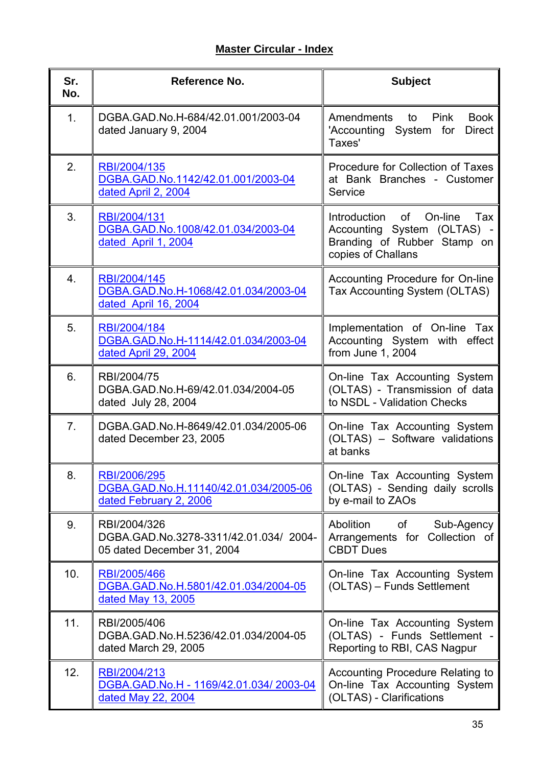# **Master Circular - Index**

| Sr.<br>No.     | Reference No.                                                                        | <b>Subject</b>                                                                                                        |
|----------------|--------------------------------------------------------------------------------------|-----------------------------------------------------------------------------------------------------------------------|
| 1 <sub>1</sub> | DGBA.GAD.No.H-684/42.01.001/2003-04<br>dated January 9, 2004                         | Amendments to Pink<br><b>Book</b><br><b>Direct</b><br>'Accounting System for<br>Taxes'                                |
| 2.             | RBI/2004/135<br>DGBA.GAD.No.1142/42.01.001/2003-04<br>dated April 2, 2004            | Procedure for Collection of Taxes<br>at Bank Branches - Customer<br>Service                                           |
| 3.             | RBI/2004/131<br>DGBA.GAD.No.1008/42.01.034/2003-04<br>dated April 1, 2004            | Introduction<br>of On-line<br>Tax<br>Accounting System (OLTAS) -<br>Branding of Rubber Stamp on<br>copies of Challans |
| 4.             | RBI/2004/145<br>DGBA.GAD.No.H-1068/42.01.034/2003-04<br>dated April 16, 2004         | Accounting Procedure for On-line<br>Tax Accounting System (OLTAS)                                                     |
| 5.             | RBI/2004/184<br>DGBA.GAD.No.H-1114/42.01.034/2003-04<br>dated April 29, 2004         | Implementation of On-line Tax<br>Accounting System with effect<br>from June 1, 2004                                   |
| 6.             | RBI/2004/75<br>DGBA.GAD.No.H-69/42.01.034/2004-05<br>dated July 28, 2004             | On-line Tax Accounting System<br>(OLTAS) - Transmission of data<br>to NSDL - Validation Checks                        |
| 7.             | DGBA.GAD.No.H-8649/42.01.034/2005-06<br>dated December 23, 2005                      | On-line Tax Accounting System<br>(OLTAS) - Software validations<br>at banks                                           |
| 8.             | RBI/2006/295<br>DGBA.GAD.No.H.11140/42.01.034/2005-06<br>dated February 2, 2006      | On-line Tax Accounting System<br>(OLTAS) - Sending daily scrolls<br>by e-mail to ZAOs                                 |
| 9.             | RBI/2004/326<br>DGBA.GAD.No.3278-3311/42.01.034/ 2004-<br>05 dated December 31, 2004 | Abolition<br>of<br>Sub-Agency<br>Arrangements for Collection of<br><b>CBDT Dues</b>                                   |
| 10.            | RBI/2005/466<br>DGBA.GAD.No.H.5801/42.01.034/2004-05<br>dated May 13, 2005           | On-line Tax Accounting System<br>(OLTAS) - Funds Settlement                                                           |
| 11.            | RBI/2005/406<br>DGBA.GAD.No.H.5236/42.01.034/2004-05<br>dated March 29, 2005         | On-line Tax Accounting System<br>(OLTAS) - Funds Settlement -<br>Reporting to RBI, CAS Nagpur                         |
| 12.            | RBI/2004/213<br>DGBA.GAD.No.H - 1169/42.01.034/2003-04<br>dated May 22, 2004         | <b>Accounting Procedure Relating to</b><br>On-line Tax Accounting System<br>(OLTAS) - Clarifications                  |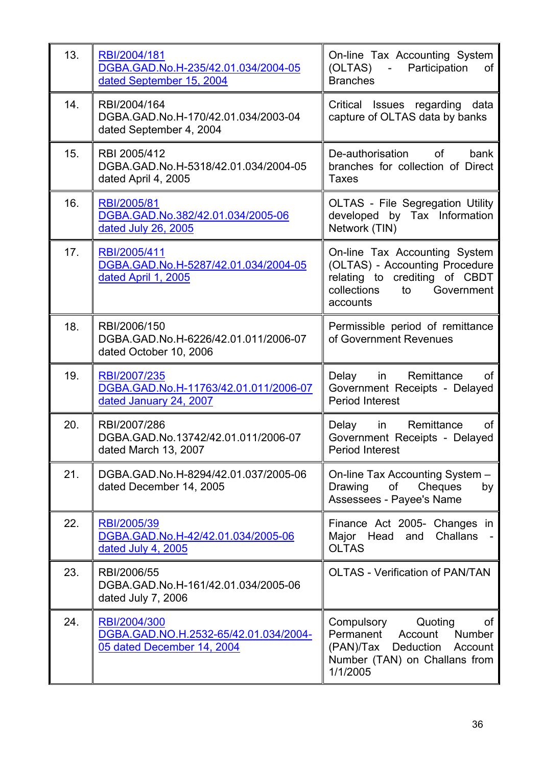| 13. | RBI/2004/181<br>DGBA.GAD.No.H-235/42.01.034/2004-05<br>dated September 15, 2004 | On-line Tax Accounting System<br>(OLTAS) -<br>Participation<br>of<br><b>Branches</b>                                                         |
|-----|---------------------------------------------------------------------------------|----------------------------------------------------------------------------------------------------------------------------------------------|
| 14. | RBI/2004/164<br>DGBA.GAD.No.H-170/42.01.034/2003-04<br>dated September 4, 2004  | Critical Issues regarding data<br>capture of OLTAS data by banks                                                                             |
| 15. | RBI 2005/412<br>DGBA.GAD.No.H-5318/42.01.034/2004-05<br>dated April 4, 2005     | De-authorisation<br>of<br>bank<br>branches for collection of Direct<br>Taxes                                                                 |
| 16. | RBI/2005/81<br>DGBA.GAD.No.382/42.01.034/2005-06<br>dated July 26, 2005         | <b>OLTAS - File Segregation Utility</b><br>developed by Tax Information<br>Network (TIN)                                                     |
| 17. | RBI/2005/411<br>DGBA.GAD.No.H-5287/42.01.034/2004-05<br>dated April 1, 2005     | On-line Tax Accounting System<br>(OLTAS) - Accounting Procedure<br>relating to crediting of CBDT<br>collections<br>to Government<br>accounts |
| 18. | RBI/2006/150<br>DGBA.GAD.No.H-6226/42.01.011/2006-07<br>dated October 10, 2006  | Permissible period of remittance<br>of Government Revenues                                                                                   |
| 19. | RBI/2007/235<br>DGBA.GAD.No.H-11763/42.01.011/2006-07<br>dated January 24, 2007 | Delay in Remittance<br>0f<br>Government Receipts - Delayed<br>Period Interest                                                                |
| 20. | RBI/2007/286<br>DGBA.GAD.No.13742/42.01.011/2006-07<br>dated March 13, 2007     | Delay<br>Remittance<br>in l<br>of<br>Government Receipts - Delayed<br><b>Period Interest</b>                                                 |
| 21. | DGBA.GAD.No.H-8294/42.01.037/2005-06<br>dated December 14, 2005                 | On-line Tax Accounting System -<br>of<br>Cheques<br>Drawing<br>by<br>Assessees - Payee's Name                                                |
| 22. | RBI/2005/39<br>DGBA.GAD.No.H-42/42.01.034/2005-06<br>dated July 4, 2005         | Finance Act 2005- Changes in<br>Major Head and<br>Challans<br><b>OLTAS</b>                                                                   |
| 23. | RBI/2006/55<br>DGBA.GAD.No.H-161/42.01.034/2005-06<br>dated July 7, 2006        | <b>OLTAS - Verification of PAN/TAN</b>                                                                                                       |
| 24. | RBI/2004/300<br>DGBA.GAD.NO.H.2532-65/42.01.034/2004-                           | Quoting<br>Compulsory<br>of<br>Permanent<br>Account Number                                                                                   |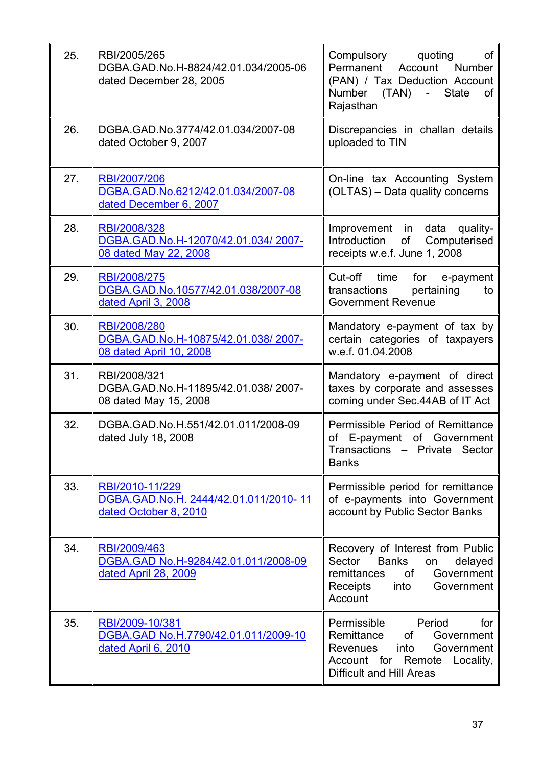| 25. | RBI/2005/265<br>DGBA.GAD.No.H-8824/42.01.034/2005-06<br>dated December 28, 2005   | Compulsory<br>quoting<br>of<br>Permanent<br>Account Number<br>(PAN) / Tax Deduction Account<br>Number (TAN) -<br><b>State</b><br>of<br>Rajasthan                       |
|-----|-----------------------------------------------------------------------------------|------------------------------------------------------------------------------------------------------------------------------------------------------------------------|
| 26. | DGBA.GAD.No.3774/42.01.034/2007-08<br>dated October 9, 2007                       | Discrepancies in challan details<br>uploaded to TIN                                                                                                                    |
| 27. | RBI/2007/206<br>DGBA.GAD.No.6212/42.01.034/2007-08<br>dated December 6, 2007      | On-line tax Accounting System<br>(OLTAS) - Data quality concerns                                                                                                       |
| 28. | RBI/2008/328<br>DGBA.GAD.No.H-12070/42.01.034/2007-<br>08 dated May 22, 2008      | Improvement in data<br>quality-<br>Introduction<br>of<br>Computerised<br>receipts w.e.f. June 1, 2008                                                                  |
| 29. | RBI/2008/275<br>DGBA.GAD.No.10577/42.01.038/2007-08<br>dated April 3, 2008        | Cut-off time for<br>e-payment<br>transactions<br>pertaining<br>to<br><b>Government Revenue</b>                                                                         |
| 30. | RBI/2008/280<br>DGBA.GAD.No.H-10875/42.01.038/2007-<br>08 dated April 10, 2008    | Mandatory e-payment of tax by<br>certain categories of taxpayers<br>w.e.f. 01.04.2008                                                                                  |
| 31. | RBI/2008/321<br>DGBA.GAD.No.H-11895/42.01.038/2007-<br>08 dated May 15, 2008      | Mandatory e-payment of direct<br>taxes by corporate and assesses<br>coming under Sec.44AB of IT Act                                                                    |
| 32. | DGBA.GAD.No.H.551/42.01.011/2008-09<br>dated July 18, 2008                        | Permissible Period of Remittance<br>of E-payment of Government<br>Transactions - Private Sector<br><b>Banks</b>                                                        |
| 33. | RBI/2010-11/229<br>DGBA.GAD.No.H. 2444/42.01.011/2010-11<br>dated October 8, 2010 | Permissible period for remittance<br>of e-payments into Government<br>account by Public Sector Banks                                                                   |
| 34. | RBI/2009/463<br>DGBA.GAD No.H-9284/42.01.011/2008-09<br>dated April 28, 2009      | Recovery of Interest from Public<br>Sector<br><b>Banks</b><br>delayed<br>on<br>remittances<br><b>of</b><br>Government<br>into<br>Government<br>Receipts<br>Account     |
| 35. | RBI/2009-10/381<br>DGBA.GAD No.H.7790/42.01.011/2009-10<br>dated April 6, 2010    | Permissible<br>Period<br>for<br>Remittance<br>of<br>Government<br>Revenues<br>into<br>Government<br>Account for Remote<br>Locality,<br><b>Difficult and Hill Areas</b> |